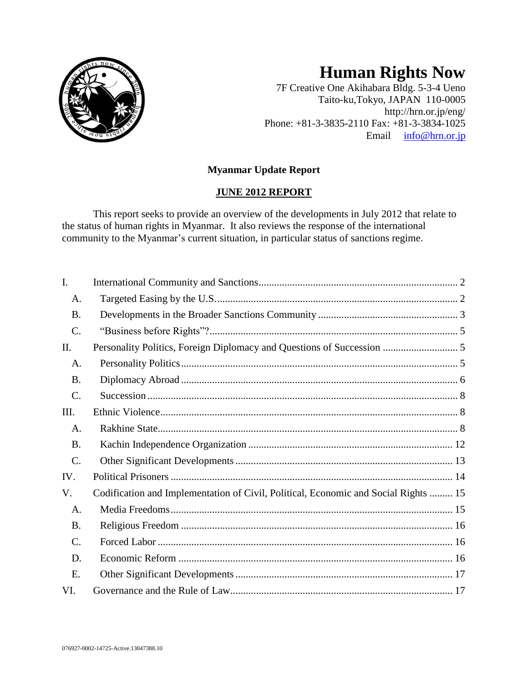

# **Human Rights Now**

7F Creative One Akihabara Bldg. 5-3-4 Ueno Taito-ku,Tokyo, JAPAN 110-0005 http://hrn.or.jp/eng/ Phone: +81-3-3835-2110 Fax: +81-3-3834-1025 Email [info@hrn.or.jp](mailto:info@hrn.or.jp)

# **Myanmar Update Report**

# **JUNE 2012 REPORT**

This report seeks to provide an overview of the developments in July 2012 that relate to the status of human rights in Myanmar. It also reviews the response of the international community to the Myanmar's current situation, in particular status of sanctions regime.

| I.              |                                                                                     |
|-----------------|-------------------------------------------------------------------------------------|
| A.              |                                                                                     |
| <b>B.</b>       |                                                                                     |
| C.              |                                                                                     |
| II.             | Personality Politics, Foreign Diplomacy and Questions of Succession  5              |
| A.              |                                                                                     |
| <b>B.</b>       |                                                                                     |
| C.              |                                                                                     |
| Ш.              |                                                                                     |
| A.              |                                                                                     |
| <b>B.</b>       |                                                                                     |
| $\mathcal{C}$ . |                                                                                     |
| IV.             |                                                                                     |
| V.              | Codification and Implementation of Civil, Political, Economic and Social Rights  15 |
| A.              |                                                                                     |
| <b>B.</b>       |                                                                                     |
| C.              |                                                                                     |
| D.              |                                                                                     |
| E.              |                                                                                     |
| VI.             |                                                                                     |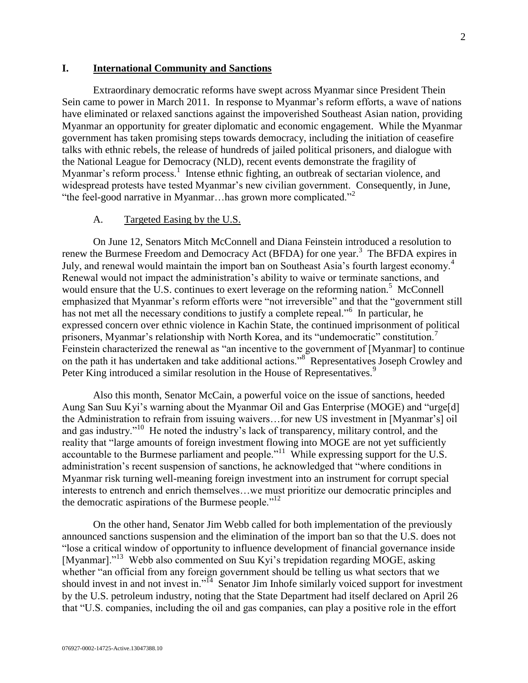#### <span id="page-1-0"></span>**I. International Community and Sanctions**

Extraordinary democratic reforms have swept across Myanmar since President Thein Sein came to power in March 2011. In response to Myanmar's reform efforts, a wave of nations have eliminated or relaxed sanctions against the impoverished Southeast Asian nation, providing Myanmar an opportunity for greater diplomatic and economic engagement. While the Myanmar government has taken promising steps towards democracy, including the initiation of ceasefire talks with ethnic rebels, the release of hundreds of jailed political prisoners, and dialogue with the National League for Democracy (NLD), recent events demonstrate the fragility of Myanmar's reform process.<sup>1</sup> Intense ethnic fighting, an outbreak of sectarian violence, and widespread protests have tested Myanmar's new civilian government. Consequently, in June, "the feel-good narrative in Myanmar... has grown more complicated."<sup>2</sup>

#### A. Targeted Easing by the U.S.

<span id="page-1-1"></span>On June 12, Senators Mitch McConnell and Diana Feinstein introduced a resolution to renew the Burmese Freedom and Democracy Act (BFDA) for one year.<sup>3</sup> The BFDA expires in July, and renewal would maintain the import ban on Southeast Asia's fourth largest economy.<sup>4</sup> Renewal would not impact the administration's ability to waive or terminate sanctions, and would ensure that the U.S. continues to exert leverage on the reforming nation.<sup>5</sup> McConnell emphasized that Myanmar's reform efforts were "not irreversible" and that the "government still has not met all the necessary conditions to justify a complete repeal."<sup>6</sup> In particular, he expressed concern over ethnic violence in Kachin State, the continued imprisonment of political prisoners, Myanmar's relationship with North Korea, and its "undemocratic" constitution.<sup>7</sup> Feinstein characterized the renewal as "an incentive to the government of [Myanmar] to continue on the path it has undertaken and take additional actions."<sup>8</sup> Representatives Joseph Crowley and Peter King introduced a similar resolution in the House of Representatives.<sup>9</sup>

Also this month, Senator McCain, a powerful voice on the issue of sanctions, heeded Aung San Suu Kyi's warning about the Myanmar Oil and Gas Enterprise (MOGE) and "urge[d] the Administration to refrain from issuing waivers…for new US investment in [Myanmar's] oil and gas industry."<sup>10</sup> He noted the industry's lack of transparency, military control, and the reality that "large amounts of foreign investment flowing into MOGE are not yet sufficiently accountable to the Burmese parliament and people."<sup>11</sup> While expressing support for the U.S. administration's recent suspension of sanctions, he acknowledged that "where conditions in Myanmar risk turning well-meaning foreign investment into an instrument for corrupt special interests to entrench and enrich themselves…we must prioritize our democratic principles and the democratic aspirations of the Burmese people. $12$ 

On the other hand, Senator Jim Webb called for both implementation of the previously announced sanctions suspension and the elimination of the import ban so that the U.S. does not "lose a critical window of opportunity to influence development of financial governance inside [Myanmar]."<sup>13</sup> Webb also commented on Suu Kyi's trepidation regarding MOGE, asking whether "an official from any foreign government should be telling us what sectors that we should invest in and not invest in."<sup>14</sup> Senator Jim Inhofe similarly voiced support for investment by the U.S. petroleum industry, noting that the State Department had itself declared on April 26 that "U.S. companies, including the oil and gas companies, can play a positive role in the effort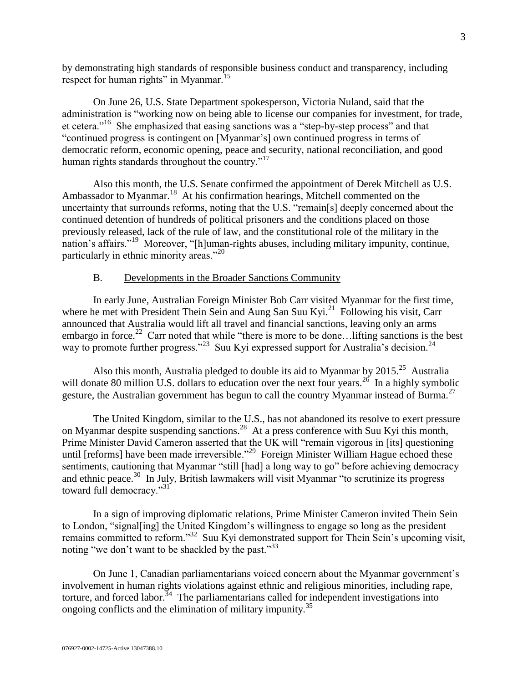by demonstrating high standards of responsible business conduct and transparency, including respect for human rights" in Myanmar.<sup>15</sup>

On June 26, U.S. State Department spokesperson, Victoria Nuland, said that the administration is "working now on being able to license our companies for investment, for trade, et cetera."<sup>16</sup> She emphasized that easing sanctions was a "step-by-step process" and that "continued progress is contingent on [Myanmar's] own continued progress in terms of democratic reform, economic opening, peace and security, national reconciliation, and good human rights standards throughout the country."<sup>17</sup>

Also this month, the U.S. Senate confirmed the appointment of Derek Mitchell as U.S. Ambassador to Myanmar.<sup>18</sup> At his confirmation hearings, Mitchell commented on the uncertainty that surrounds reforms, noting that the U.S. "remain[s] deeply concerned about the continued detention of hundreds of political prisoners and the conditions placed on those previously released, lack of the rule of law, and the constitutional role of the military in the nation's affairs."<sup>19</sup> Moreover, "[h]uman-rights abuses, including military impunity, continue, particularly in ethnic minority areas."<sup>20</sup>

## B. Developments in the Broader Sanctions Community

<span id="page-2-0"></span>In early June, Australian Foreign Minister Bob Carr visited Myanmar for the first time, where he met with President Thein Sein and Aung San Suu Kyi.<sup>21</sup> Following his visit, Carr announced that Australia would lift all travel and financial sanctions, leaving only an arms embargo in force.<sup>22</sup> Carr noted that while "there is more to be done... lifting sanctions is the best way to promote further progress."<sup>23</sup> Suu Kyi expressed support for Australia's decision.<sup>24</sup>

Also this month, Australia pledged to double its aid to Myanmar by 2015.<sup>25</sup> Australia will donate 80 million U.S. dollars to education over the next four years.<sup>26</sup> In a highly symbolic gesture, the Australian government has begun to call the country Myanmar instead of Burma.<sup>27</sup>

The United Kingdom, similar to the U.S., has not abandoned its resolve to exert pressure on Myanmar despite suspending sanctions.<sup>28</sup> At a press conference with Suu Kyi this month, Prime Minister David Cameron asserted that the UK will "remain vigorous in [its] questioning until [reforms] have been made irreversible."<sup>29</sup> Foreign Minister William Hague echoed these sentiments, cautioning that Myanmar "still [had] a long way to go" before achieving democracy and ethnic peace.<sup>30</sup> In July, British lawmakers will visit Myanmar "to scrutinize its progress toward full democracy."<sup>31</sup>

In a sign of improving diplomatic relations, Prime Minister Cameron invited Thein Sein to London, "signal[ing] the United Kingdom's willingness to engage so long as the president remains committed to reform."<sup>32</sup> Suu Kyi demonstrated support for Thein Sein's upcoming visit, noting "we don't want to be shackled by the past."<sup>33</sup>

On June 1, Canadian parliamentarians voiced concern about the Myanmar government's involvement in human rights violations against ethnic and religious minorities, including rape, torture, and forced labor.<sup>34</sup> The parliamentarians called for independent investigations into ongoing conflicts and the elimination of military impunity.<sup>35</sup>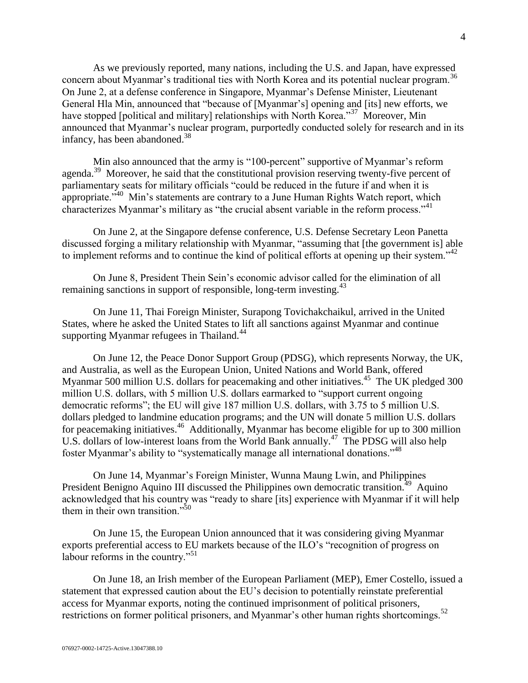As we previously reported, many nations, including the U.S. and Japan, have expressed concern about Myanmar's traditional ties with North Korea and its potential nuclear program.<sup>36</sup> On June 2, at a defense conference in Singapore, Myanmar's Defense Minister, Lieutenant General Hla Min, announced that "because of [Myanmar's] opening and [its] new efforts, we have stopped [political and military] relationships with North Korea."<sup>37</sup> Moreover, Min announced that Myanmar's nuclear program, purportedly conducted solely for research and in its infancy, has been abandoned. $38$ 

Min also announced that the army is "100-percent" supportive of Myanmar's reform agenda.<sup>39</sup> Moreover, he said that the constitutional provision reserving twenty-five percent of parliamentary seats for military officials "could be reduced in the future if and when it is appropriate."<sup>40</sup> Min's statements are contrary to a June Human Rights Watch report, which characterizes Myanmar's military as "the crucial absent variable in the reform process."<sup>41</sup>

On June 2, at the Singapore defense conference, U.S. Defense Secretary Leon Panetta discussed forging a military relationship with Myanmar, "assuming that [the government is] able to implement reforms and to continue the kind of political efforts at opening up their system."<sup>42</sup>

On June 8, President Thein Sein's economic advisor called for the elimination of all remaining sanctions in support of responsible, long-term investing.  $43$ 

On June 11, Thai Foreign Minister, Surapong Tovichakchaikul, arrived in the United States, where he asked the United States to lift all sanctions against Myanmar and continue supporting Myanmar refugees in Thailand.<sup>44</sup>

On June 12, the Peace Donor Support Group (PDSG), which represents Norway, the UK, and Australia, as well as the European Union, United Nations and World Bank, offered Myanmar 500 million U.S. dollars for peacemaking and other initiatives.<sup>45</sup> The UK pledged 300 million U.S. dollars, with 5 million U.S. dollars earmarked to "support current ongoing democratic reforms"; the EU will give 187 million U.S. dollars, with 3.75 to 5 million U.S. dollars pledged to landmine education programs; and the UN will donate 5 million U.S. dollars for peacemaking initiatives.<sup>46</sup> Additionally, Myanmar has become eligible for up to 300 million U.S. dollars of low-interest loans from the World Bank annually.<sup>47</sup> The PDSG will also help foster Myanmar's ability to "systematically manage all international donations."<sup>48</sup>

On June 14, Myanmar's Foreign Minister, Wunna Maung Lwin, and Philippines President Benigno Aquino III discussed the Philippines own democratic transition.<sup>49</sup> Aquino acknowledged that his country was "ready to share [its] experience with Myanmar if it will help them in their own transition." $50$ 

On June 15, the European Union announced that it was considering giving Myanmar exports preferential access to EU markets because of the ILO's "recognition of progress on labour reforms in the country."<sup>51</sup>

On June 18, an Irish member of the European Parliament (MEP), Emer Costello, issued a statement that expressed caution about the EU's decision to potentially reinstate preferential access for Myanmar exports, noting the continued imprisonment of political prisoners, restrictions on former political prisoners, and Myanmar's other human rights shortcomings.<sup>52</sup>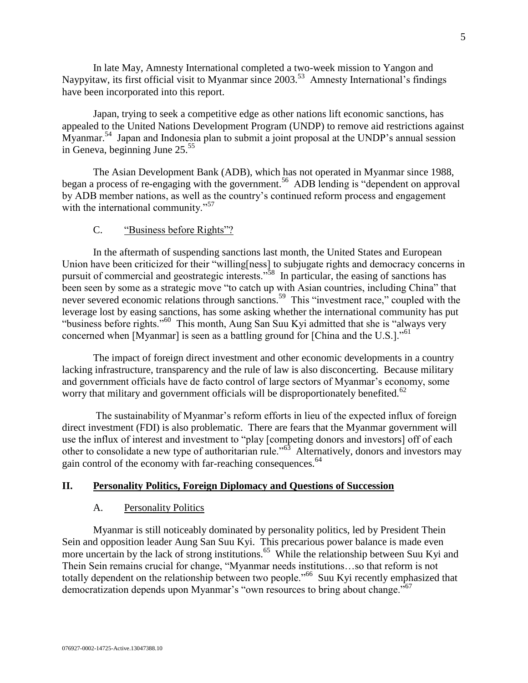In late May, Amnesty International completed a two-week mission to Yangon and Naypyitaw, its first official visit to Myanmar since 2003.<sup>53</sup> Amnesty International's findings have been incorporated into this report.

Japan, trying to seek a competitive edge as other nations lift economic sanctions, has appealed to the United Nations Development Program (UNDP) to remove aid restrictions against Myanmar.<sup>54</sup> Japan and Indonesia plan to submit a joint proposal at the UNDP's annual session in Geneva, beginning June  $25.^{55}$ 

The Asian Development Bank (ADB), which has not operated in Myanmar since 1988, began a process of re-engaging with the government.<sup>56</sup> ADB lending is "dependent on approval by ADB member nations, as well as the country's continued reform process and engagement with the international community."<sup>57</sup>

#### C. "Business before Rights"?

<span id="page-4-0"></span>In the aftermath of suspending sanctions last month, the United States and European Union have been criticized for their "willing[ness] to subjugate rights and democracy concerns in pursuit of commercial and geostrategic interests.<sup>358</sup> In particular, the easing of sanctions has been seen by some as a strategic move "to catch up with Asian countries, including China" that never severed economic relations through sanctions.<sup>59</sup> This "investment race," coupled with the leverage lost by easing sanctions, has some asking whether the international community has put "business before rights."<sup>60</sup> This month, Aung San Suu Kyi admitted that she is "always very concerned when [Myanmar] is seen as a battling ground for [China and the U.S.].<sup>"61</sup>

The impact of foreign direct investment and other economic developments in a country lacking infrastructure, transparency and the rule of law is also disconcerting. Because military and government officials have de facto control of large sectors of Myanmar's economy, some worry that military and government officials will be disproportionately benefited.<sup>62</sup>

The sustainability of Myanmar's reform efforts in lieu of the expected influx of foreign direct investment (FDI) is also problematic. There are fears that the Myanmar government will use the influx of interest and investment to "play [competing donors and investors] off of each other to consolidate a new type of authoritarian rule."<sup>63</sup> Alternatively, donors and investors may gain control of the economy with far-reaching consequences.<sup>64</sup>

#### <span id="page-4-2"></span><span id="page-4-1"></span>**II. Personality Politics, Foreign Diplomacy and Questions of Succession**

#### A. Personality Politics

Myanmar is still noticeably dominated by personality politics, led by President Thein Sein and opposition leader Aung San Suu Kyi. This precarious power balance is made even more uncertain by the lack of strong institutions.<sup>65</sup> While the relationship between Suu Kyi and Thein Sein remains crucial for change, "Myanmar needs institutions…so that reform is not totally dependent on the relationship between two people."<sup>66</sup> Suu Kyi recently emphasized that democratization depends upon Myanmar's "own resources to bring about change."<sup>67</sup>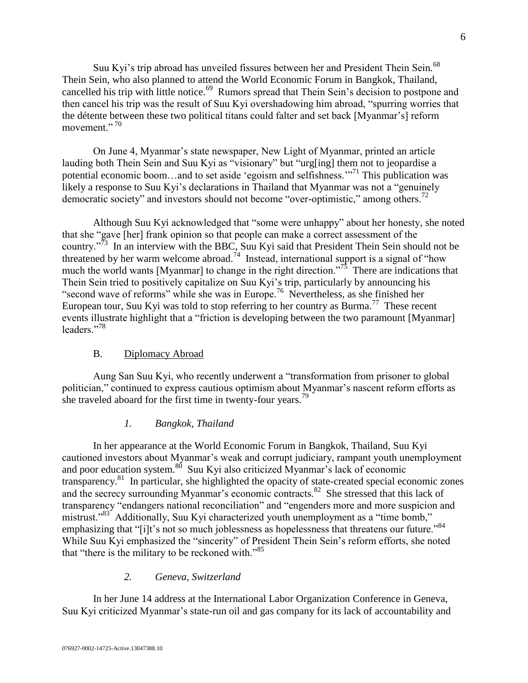Suu Kyi's trip abroad has unveiled fissures between her and President Thein Sein.<sup>68</sup> Thein Sein, who also planned to attend the World Economic Forum in Bangkok, Thailand, cancelled his trip with little notice.<sup>69</sup> Rumors spread that Thein Sein's decision to postpone and then cancel his trip was the result of Suu Kyi overshadowing him abroad, "spurring worries that the détente between these two political titans could falter and set back [Myanmar's] reform movement."<sup>70</sup>

On June 4, Myanmar's state newspaper, New Light of Myanmar, printed an article lauding both Thein Sein and Suu Kyi as "visionary" but "urg[ing] them not to jeopardise a potential economic boom...and to set aside 'egoism and selfishness.'<sup>71</sup> This publication was likely a response to Suu Kyi's declarations in Thailand that Myanmar was not a "genuinely" democratic society" and investors should not become "over-optimistic," among others.<sup>72</sup>

Although Suu Kyi acknowledged that "some were unhappy" about her honesty, she noted that she "gave [her] frank opinion so that people can make a correct assessment of the country."<sup>73</sup> In an interview with the BBC, Suu Kyi said that President Thein Sein should not be threatened by her warm welcome abroad.<sup>74</sup> Instead, international support is a signal of "how much the world wants [Myanmar] to change in the right direction.<sup>775</sup> There are indications that Thein Sein tried to positively capitalize on Suu Kyi's trip, particularly by announcing his "second wave of reforms" while she was in Europe.<sup>76</sup> Nevertheless, as she finished her European tour, Suu Kyi was told to stop referring to her country as Burma.<sup>77</sup> These recent events illustrate highlight that a "friction is developing between the two paramount [Myanmar] leaders."<sup>78</sup>

# B. Diplomacy Abroad

<span id="page-5-0"></span>Aung San Suu Kyi, who recently underwent a "transformation from prisoner to global politician," continued to express cautious optimism about Myanmar's nascent reform efforts as she traveled aboard for the first time in twenty-four years.<sup>79</sup>

## *1. Bangkok, Thailand*

In her appearance at the World Economic Forum in Bangkok, Thailand, Suu Kyi cautioned investors about Myanmar's weak and corrupt judiciary, rampant youth unemployment and poor education system.<sup>80</sup> Suu Kyi also criticized Myanmar's lack of economic transparency.<sup>81</sup> In particular, she highlighted the opacity of state-created special economic zones and the secrecy surrounding Myanmar's economic contracts.<sup>82</sup> She stressed that this lack of transparency "endangers national reconciliation" and "engenders more and more suspicion and mistrust."<sup>83</sup> Additionally, Suu Kyi characterized youth unemployment as a "time bomb," emphasizing that "[i]t's not so much joblessness as hopelessness that threatens our future."<sup>84</sup> While Suu Kyi emphasized the "sincerity" of President Thein Sein's reform efforts, she noted that "there is the military to be reckoned with."<sup>85</sup>

# *2. Geneva, Switzerland*

In her June 14 address at the International Labor Organization Conference in Geneva, Suu Kyi criticized Myanmar's state-run oil and gas company for its lack of accountability and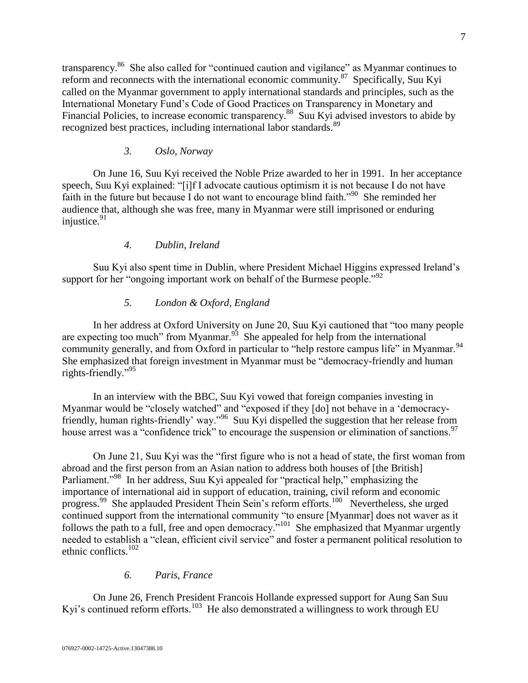transparency.<sup>86</sup> She also called for "continued caution and vigilance" as Myanmar continues to reform and reconnects with the international economic community.<sup>87</sup> Specifically, Suu Kyi called on the Myanmar government to apply international standards and principles, such as the International Monetary Fund's Code of Good Practices on Transparency in Monetary and Financial Policies, to increase economic transparency.<sup>88</sup> Suu Kyi advised investors to abide by recognized best practices, including international labor standards.<sup>89</sup>

## *3. Oslo, Norway*

On June 16, Suu Kyi received the Noble Prize awarded to her in 1991. In her acceptance speech, Suu Kyi explained: "[i]f I advocate cautious optimism it is not because I do not have faith in the future but because I do not want to encourage blind faith."<sup>90</sup> She reminded her audience that, although she was free, many in Myanmar were still imprisoned or enduring injustice.<sup>91</sup>

## *4. Dublin, Ireland*

Suu Kyi also spent time in Dublin, where President Michael Higgins expressed Ireland's support for her "ongoing important work on behalf of the Burmese people."<sup>92</sup>

# *5. London & Oxford, England*

In her address at Oxford University on June 20, Suu Kyi cautioned that "too many people are expecting too much" from Myanmar.<sup>93</sup> She appealed for help from the international community generally, and from Oxford in particular to "help restore campus life" in Myanmar.<sup>94</sup> She emphasized that foreign investment in Myanmar must be "democracy-friendly and human rights-friendly."<sup>95</sup>

In an interview with the BBC, Suu Kyi vowed that foreign companies investing in Myanmar would be "closely watched" and "exposed if they [do] not behave in a 'democracyfriendly, human rights-friendly' way."<sup>96</sup> Suu Kyi dispelled the suggestion that her release from house arrest was a "confidence trick" to encourage the suspension or elimination of sanctions.<sup>97</sup>

On June 21, Suu Kyi was the "first figure who is not a head of state, the first woman from abroad and the first person from an Asian nation to address both houses of [the British] Parliament."<sup>98</sup> In her address, Suu Kyi appealed for "practical help," emphasizing the importance of international aid in support of education, training, civil reform and economic progress.<sup>99</sup> She applauded President Thein Sein's reform efforts.<sup>100</sup> Nevertheless, she urged continued support from the international community "to ensure [Myanmar] does not waver as it follows the path to a full, free and open democracy."<sup>101</sup> She emphasized that Myanmar urgently needed to establish a "clean, efficient civil service" and foster a permanent political resolution to ethnic conflicts.<sup>102</sup>

## *6. Paris, France*

On June 26, French President Francois Hollande expressed support for Aung San Suu Kyi's continued reform efforts.<sup>103</sup> He also demonstrated a willingness to work through EU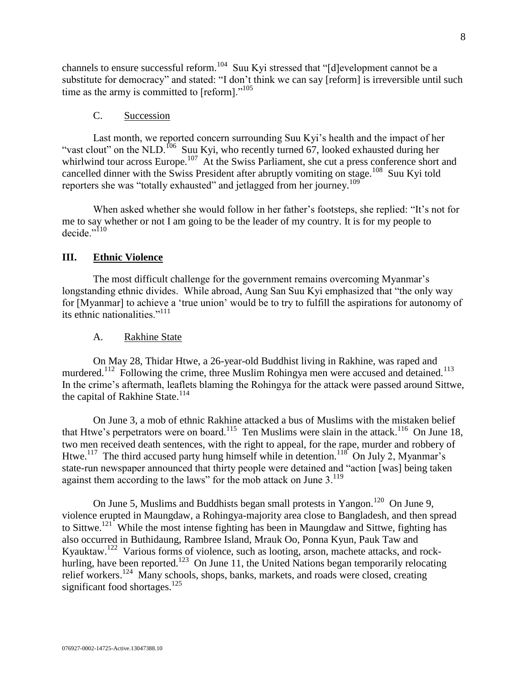channels to ensure successful reform.<sup>104</sup> Suu Kyi stressed that "[d]evelopment cannot be a substitute for democracy" and stated: "I don't think we can say [reform] is irreversible until such time as the army is committed to [reform]."<sup>105</sup>

#### C. Succession

<span id="page-7-0"></span>Last month, we reported concern surrounding Suu Kyi's health and the impact of her "vast clout" on the NLD.<sup>106</sup> Suu Kyi, who recently turned 67, looked exhausted during her whirlwind tour across Europe.<sup>107</sup> At the Swiss Parliament, she cut a press conference short and cancelled dinner with the Swiss President after abruptly vomiting on stage.<sup>108</sup> Suu Kyi told reporters she was "totally exhausted" and jetlagged from her journey.<sup>109</sup>

When asked whether she would follow in her father's footsteps, she replied: "It's not for me to say whether or not I am going to be the leader of my country. It is for my people to decide." $^{110}$ 

#### <span id="page-7-1"></span>**III. Ethnic Violence**

The most difficult challenge for the government remains overcoming Myanmar's longstanding ethnic divides. While abroad, Aung San Suu Kyi emphasized that "the only way for [Myanmar] to achieve a 'true union' would be to try to fulfill the aspirations for autonomy of its ethnic nationalities."<sup>111</sup>

#### A. Rakhine State

<span id="page-7-2"></span>On May 28, Thidar Htwe, a 26-year-old Buddhist living in Rakhine, was raped and murdered.<sup>112</sup> Following the crime, three Muslim Rohingya men were accused and detained.<sup>113</sup> In the crime's aftermath, leaflets blaming the Rohingya for the attack were passed around Sittwe, the capital of Rakhine State.<sup>114</sup>

On June 3, a mob of ethnic Rakhine attacked a bus of Muslims with the mistaken belief that Htwe's perpetrators were on board.<sup>115</sup> Ten Muslims were slain in the attack.<sup>116</sup> On June 18, two men received death sentences, with the right to appeal, for the rape, murder and robbery of Htwe.<sup>117</sup> The third accused party hung himself while in detention.<sup>118</sup> On July 2, Myanmar's state-run newspaper announced that thirty people were detained and "action [was] being taken against them according to the laws" for the mob attack on June 3.<sup>119</sup>

On June 5, Muslims and Buddhists began small protests in Yangon.<sup>120</sup> On June 9, violence erupted in Maungdaw, a Rohingya-majority area close to Bangladesh, and then spread to Sittwe.<sup>121</sup> While the most intense fighting has been in Maungdaw and Sittwe, fighting has also occurred in Buthidaung, Rambree Island, Mrauk Oo, Ponna Kyun, Pauk Taw and Kyauktaw.<sup>122</sup> Various forms of violence, such as looting, arson, machete attacks, and rockhurling, have been reported.<sup>123</sup> On June 11, the United Nations began temporarily relocating relief workers.<sup>124</sup> Many schools, shops, banks, markets, and roads were closed, creating significant food shortages.<sup>125</sup>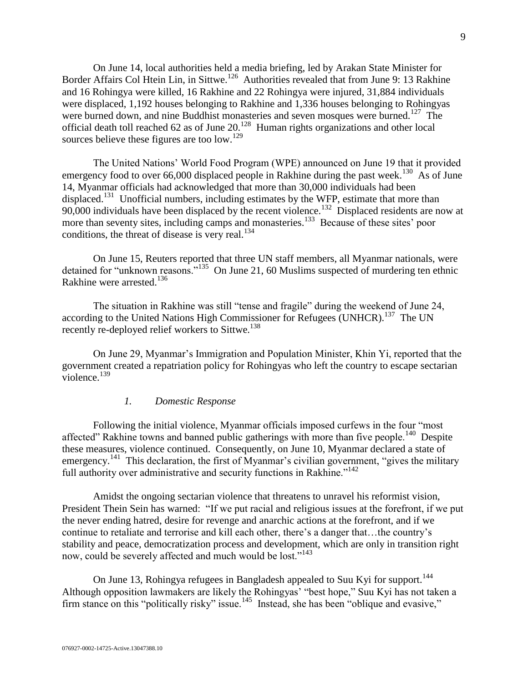On June 14, local authorities held a media briefing, led by Arakan State Minister for Border Affairs Col Htein Lin, in Sittwe.<sup>126</sup> Authorities revealed that from June 9: 13 Rakhine and 16 Rohingya were killed, 16 Rakhine and 22 Rohingya were injured, 31,884 individuals were displaced, 1,192 houses belonging to Rakhine and 1,336 houses belonging to Rohingyas were burned down, and nine Buddhist monasteries and seven mosques were burned.<sup>127</sup> The official death toll reached 62 as of June  $20^{128}$  Human rights organizations and other local sources believe these figures are too low.<sup>129</sup>

The United Nations' World Food Program (WPE) announced on June 19 that it provided emergency food to over 66,000 displaced people in Rakhine during the past week.<sup>130</sup> As of June 14, Myanmar officials had acknowledged that more than 30,000 individuals had been displaced.<sup>131</sup> Unofficial numbers, including estimates by the WFP, estimate that more than  $90,000$  individuals have been displaced by the recent violence.<sup>132</sup> Displaced residents are now at more than seventy sites, including camps and monasteries.<sup>133</sup> Because of these sites' poor conditions, the threat of disease is very real. $^{134}$ 

On June 15, Reuters reported that three UN staff members, all Myanmar nationals, were detained for "unknown reasons."<sup>135</sup> On June 21, 60 Muslims suspected of murdering ten ethnic Rakhine were arrested.<sup>136</sup>

The situation in Rakhine was still "tense and fragile" during the weekend of June 24, according to the United Nations High Commissioner for Refugees (UNHCR).<sup>137</sup> The UN recently re-deployed relief workers to Sittwe.<sup>138</sup>

On June 29, Myanmar's Immigration and Population Minister, Khin Yi, reported that the government created a repatriation policy for Rohingyas who left the country to escape sectarian violence. $^{139}$ 

#### *1. Domestic Response*

Following the initial violence, Myanmar officials imposed curfews in the four "most affected" Rakhine towns and banned public gatherings with more than five people.<sup>140</sup> Despite these measures, violence continued. Consequently, on June 10, Myanmar declared a state of emergency.<sup>141</sup> This declaration, the first of Myanmar's civilian government, "gives the military full authority over administrative and security functions in Rakhine."<sup>142</sup>

Amidst the ongoing sectarian violence that threatens to unravel his reformist vision, President Thein Sein has warned: "If we put racial and religious issues at the forefront, if we put the never ending hatred, desire for revenge and anarchic actions at the forefront, and if we continue to retaliate and terrorise and kill each other, there's a danger that…the country's stability and peace, democratization process and development, which are only in transition right now, could be severely affected and much would be lost."<sup>143</sup>

On June 13, Rohingya refugees in Bangladesh appealed to Suu Kyi for support.<sup>144</sup> Although opposition lawmakers are likely the Rohingyas' "best hope," Suu Kyi has not taken a firm stance on this "politically risky" issue.<sup>145</sup> Instead, she has been "oblique and evasive,"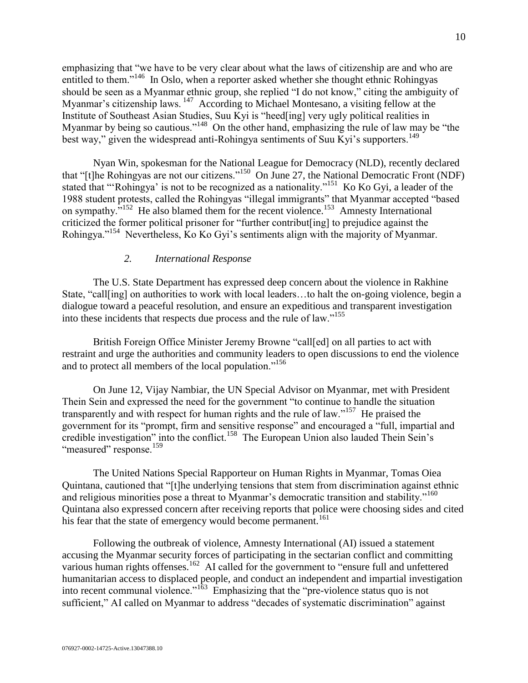emphasizing that "we have to be very clear about what the laws of citizenship are and who are entitled to them."<sup>146</sup> In Oslo, when a reporter asked whether she thought ethnic Rohingyas should be seen as a Myanmar ethnic group, she replied "I do not know," citing the ambiguity of Myanmar's citizenship laws.<sup>147</sup> According to Michael Montesano, a visiting fellow at the Institute of Southeast Asian Studies, Suu Kyi is "heed[ing] very ugly political realities in Myanmar by being so cautious."<sup>148</sup> On the other hand, emphasizing the rule of law may be "the best way," given the widespread anti-Rohingya sentiments of Suu Kyi's supporters.<sup>149</sup>

Nyan Win, spokesman for the National League for Democracy (NLD), recently declared that "[t]he Rohingyas are not our citizens."<sup>150</sup> On June 27, the National Democratic Front (NDF) stated that "'Rohingya' is not to be recognized as a nationality."<sup>151</sup> Ko Ko Gyi, a leader of the 1988 student protests, called the Rohingyas "illegal immigrants" that Myanmar accepted "based on sympathy.<sup>5152</sup> He also blamed them for the recent violence.<sup>153</sup> Amnesty International criticized the former political prisoner for "further contribut[ing] to prejudice against the Rohingya."<sup>154</sup> Nevertheless, Ko Ko Gyi's sentiments align with the majority of Myanmar.

#### *2. International Response*

The U.S. State Department has expressed deep concern about the violence in Rakhine State, "call[ing] on authorities to work with local leaders…to halt the on-going violence, begin a dialogue toward a peaceful resolution, and ensure an expeditious and transparent investigation into these incidents that respects due process and the rule of law."<sup>155</sup>

British Foreign Office Minister Jeremy Browne "call[ed] on all parties to act with restraint and urge the authorities and community leaders to open discussions to end the violence and to protect all members of the local population."<sup>156</sup>

On June 12, Vijay Nambiar, the UN Special Advisor on Myanmar, met with President Thein Sein and expressed the need for the government "to continue to handle the situation transparently and with respect for human rights and the rule of law."<sup>157</sup> He praised the government for its "prompt, firm and sensitive response" and encouraged a "full, impartial and credible investigation" into the conflict.<sup>158</sup> The European Union also lauded Thein Sein's "measured" response.<sup>159</sup>

The United Nations Special Rapporteur on Human Rights in Myanmar, Tomas Oiea Quintana, cautioned that "[t]he underlying tensions that stem from discrimination against ethnic and religious minorities pose a threat to Myanmar's democratic transition and stability."<sup>160</sup> Quintana also expressed concern after receiving reports that police were choosing sides and cited his fear that the state of emergency would become permanent.<sup>161</sup>

Following the outbreak of violence, Amnesty International (AI) issued a statement accusing the Myanmar security forces of participating in the sectarian conflict and committing various human rights offenses.<sup>162</sup> AI called for the government to "ensure full and unfettered humanitarian access to displaced people, and conduct an independent and impartial investigation into recent communal violence."<sup>163</sup> Emphasizing that the "pre-violence status quo is not sufficient," AI called on Myanmar to address "decades of systematic discrimination" against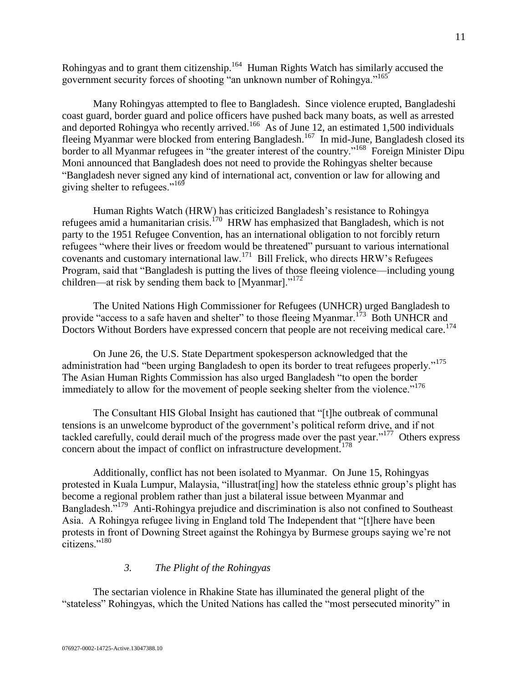Rohingyas and to grant them citizenship.<sup>164</sup> Human Rights Watch has similarly accused the government security forces of shooting "an unknown number of Rohingya."<sup>165</sup>

Many Rohingyas attempted to flee to Bangladesh. Since violence erupted, Bangladeshi coast guard, border guard and police officers have pushed back many boats, as well as arrested and deported Rohingya who recently arrived.<sup>166</sup> As of June 12, an estimated 1,500 individuals fleeing Myanmar were blocked from entering Bangladesh.<sup>167</sup> In mid-June, Bangladesh closed its border to all Myanmar refugees in "the greater interest of the country."<sup>168</sup> Foreign Minister Dipu Moni announced that Bangladesh does not need to provide the Rohingyas shelter because "Bangladesh never signed any kind of international act, convention or law for allowing and giving shelter to refugees."<sup>169</sup>

Human Rights Watch (HRW) has criticized Bangladesh's resistance to Rohingya refugees amid a humanitarian crisis.<sup>170</sup> HRW has emphasized that Bangladesh, which is not party to the 1951 Refugee Convention, has an international obligation to not forcibly return refugees "where their lives or freedom would be threatened" pursuant to various international covenants and customary international law.<sup>171</sup> Bill Frelick, who directs HRW's Refugees Program, said that "Bangladesh is putting the lives of those fleeing violence—including young children—at risk by sending them back to [Myanmar]."<sup>172</sup>

The United Nations High Commissioner for Refugees (UNHCR) urged Bangladesh to provide "access to a safe haven and shelter" to those fleeing Myanmar.<sup>173</sup> Both UNHCR and Doctors Without Borders have expressed concern that people are not receiving medical care.<sup>174</sup>

On June 26, the U.S. State Department spokesperson acknowledged that the administration had "been urging Bangladesh to open its border to treat refugees properly."<sup>175</sup> The Asian Human Rights Commission has also urged Bangladesh "to open the border immediately to allow for the movement of people seeking shelter from the violence."<sup>176</sup>

The Consultant HIS Global Insight has cautioned that "[t]he outbreak of communal tensions is an unwelcome byproduct of the government's political reform drive, and if not tackled carefully, could derail much of the progress made over the past year."<sup>177</sup> Others express concern about the impact of conflict on infrastructure development.<sup>178</sup>

Additionally, conflict has not been isolated to Myanmar. On June 15, Rohingyas protested in Kuala Lumpur, Malaysia, "illustrat[ing] how the stateless ethnic group's plight has become a regional problem rather than just a bilateral issue between Myanmar and Bangladesh."<sup>179</sup> Anti-Rohingya prejudice and discrimination is also not confined to Southeast Asia. A Rohingya refugee living in England told The Independent that "[t]here have been protests in front of Downing Street against the Rohingya by Burmese groups saying we're not citizens."<sup>180</sup>

## *3. The Plight of the Rohingyas*

The sectarian violence in Rhakine State has illuminated the general plight of the "stateless" Rohingyas, which the United Nations has called the "most persecuted minority" in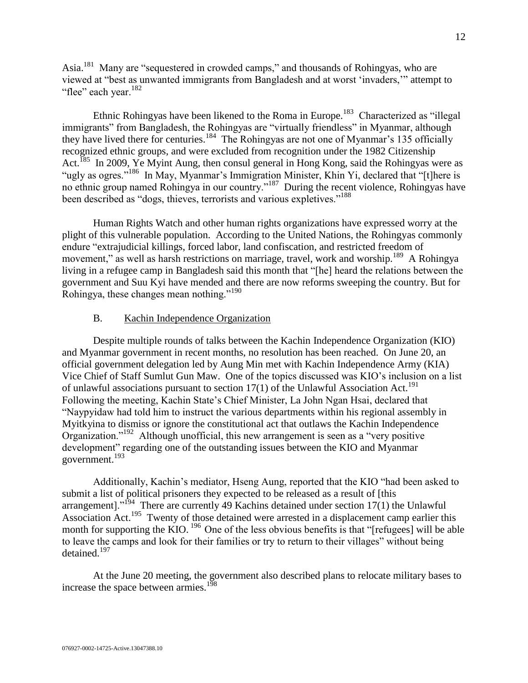Asia.<sup>181</sup> Many are "sequestered in crowded camps," and thousands of Rohingyas, who are viewed at "best as unwanted immigrants from Bangladesh and at worst 'invaders,'" attempt to "flee" each year.<sup>182</sup>

Ethnic Rohingyas have been likened to the Roma in Europe.<sup>183</sup> Characterized as "illegal immigrants" from Bangladesh, the Rohingyas are "virtually friendless" in Myanmar, although they have lived there for centuries.<sup>184</sup> The Rohingyas are not one of Myanmar's 135 officially recognized ethnic groups, and were excluded from recognition under the 1982 Citizenship Act.<sup>185</sup> In 2009, Ye Myint Aung, then consul general in Hong Kong, said the Rohingyas were as "ugly as ogres."<sup>186</sup> In May, Myanmar's Immigration Minister, Khin Yi, declared that "[t]here is no ethnic group named Rohingya in our country."<sup>187</sup> During the recent violence, Rohingyas have been described as "dogs, thieves, terrorists and various expletives."<sup>188</sup>

Human Rights Watch and other human rights organizations have expressed worry at the plight of this vulnerable population. According to the United Nations, the Rohingyas commonly endure "extrajudicial killings, forced labor, land confiscation, and restricted freedom of movement," as well as harsh restrictions on marriage, travel, work and worship.<sup>189</sup> A Rohingya living in a refugee camp in Bangladesh said this month that "[he] heard the relations between the government and Suu Kyi have mended and there are now reforms sweeping the country. But for Rohingya, these changes mean nothing."<sup>190</sup>

### B. Kachin Independence Organization

<span id="page-11-0"></span>Despite multiple rounds of talks between the Kachin Independence Organization (KIO) and Myanmar government in recent months, no resolution has been reached. On June 20, an official government delegation led by Aung Min met with Kachin Independence Army (KIA) Vice Chief of Staff Sumlut Gun Maw. One of the topics discussed was KIO's inclusion on a list of unlawful associations pursuant to section  $17(1)$  of the Unlawful Association Act.<sup>191</sup> Following the meeting, Kachin State's Chief Minister, La John Ngan Hsai, declared that "Naypyidaw had told him to instruct the various departments within his regional assembly in Myitkyina to dismiss or ignore the constitutional act that outlaws the Kachin Independence Organization."<sup>192</sup> Although unofficial, this new arrangement is seen as a "very positive development" regarding one of the outstanding issues between the KIO and Myanmar government.<sup>193</sup>

Additionally, Kachin's mediator, Hseng Aung, reported that the KIO "had been asked to submit a list of political prisoners they expected to be released as a result of [this arrangement]."<sup>194</sup> There are currently 49 Kachins detained under section 17(1) the Unlawful Association Act.<sup>195</sup> Twenty of those detained were arrested in a displacement camp earlier this month for supporting the KIO.  $^{196}$  One of the less obvious benefits is that "[refugees] will be able to leave the camps and look for their families or try to return to their villages" without being detained.<sup>197</sup>

At the June 20 meeting, the government also described plans to relocate military bases to increase the space between armies.<sup>198</sup>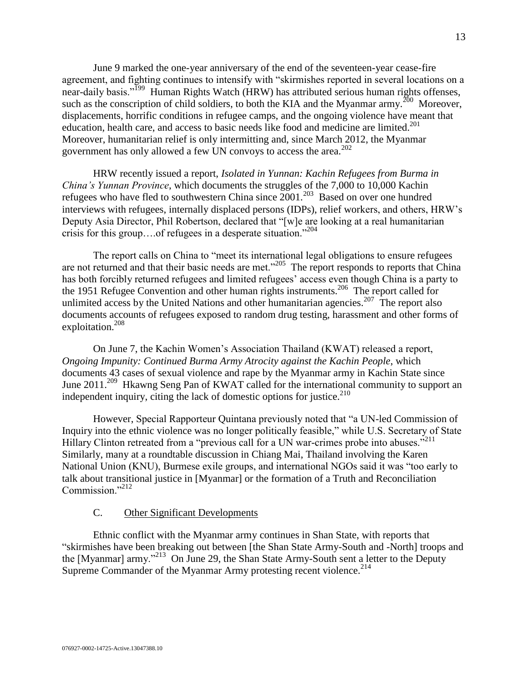June 9 marked the one-year anniversary of the end of the seventeen-year cease-fire agreement, and fighting continues to intensify with "skirmishes reported in several locations on a near-daily basis."<sup>199</sup> Human Rights Watch (HRW) has attributed serious human rights offenses, such as the conscription of child soldiers, to both the KIA and the Myanmar army.<sup>200</sup> Moreover, displacements, horrific conditions in refugee camps, and the ongoing violence have meant that education, health care, and access to basic needs like food and medicine are limited.<sup>201</sup> Moreover, humanitarian relief is only intermitting and, since March 2012, the Myanmar government has only allowed a few UN convoys to access the area.<sup>202</sup>

HRW recently issued a report, *Isolated in Yunnan: Kachin Refugees from Burma in China's Yunnan Province*, which documents the struggles of the 7,000 to 10,000 Kachin refugees who have fled to southwestern China since  $2001$ .<sup>203</sup> Based on over one hundred interviews with refugees, internally displaced persons (IDPs), relief workers, and others, HRW's Deputy Asia Director, Phil Robertson, declared that "[w]e are looking at a real humanitarian crisis for this group….of refugees in a desperate situation."<sup>204</sup>

The report calls on China to "meet its international legal obligations to ensure refugees are not returned and that their basic needs are met."<sup>205</sup> The report responds to reports that China has both forcibly returned refugees and limited refugees' access even though China is a party to the 1951 Refugee Convention and other human rights instruments.<sup>206</sup> The report called for unlimited access by the United Nations and other humanitarian agencies.<sup>207</sup> The report also documents accounts of refugees exposed to random drug testing, harassment and other forms of exploitation.<sup>208</sup>

On June 7, the Kachin Women's Association Thailand (KWAT) released a report, *Ongoing Impunity: Continued Burma Army Atrocity against the Kachin People*, which documents 43 cases of sexual violence and rape by the Myanmar army in Kachin State since June 2011.<sup>209</sup> Hkawng Seng Pan of KWAT called for the international community to support an independent inquiry, citing the lack of domestic options for justice. $210$ 

However, Special Rapporteur Quintana previously noted that "a UN-led Commission of Inquiry into the ethnic violence was no longer politically feasible," while U.S. Secretary of State Hillary Clinton retreated from a "previous call for a UN war-crimes probe into abuses."<sup>211</sup> Similarly, many at a roundtable discussion in Chiang Mai, Thailand involving the Karen National Union (KNU), Burmese exile groups, and international NGOs said it was "too early to talk about transitional justice in [Myanmar] or the formation of a Truth and Reconciliation Commission."<sup>212</sup>

#### C. Other Significant Developments

<span id="page-12-0"></span>Ethnic conflict with the Myanmar army continues in Shan State, with reports that "skirmishes have been breaking out between [the Shan State Army-South and -North] troops and the [Myanmar] army."<sup>213</sup> On June 29, the Shan State Army-South sent a letter to the Deputy Supreme Commander of the Myanmar Army protesting recent violence.<sup>214</sup>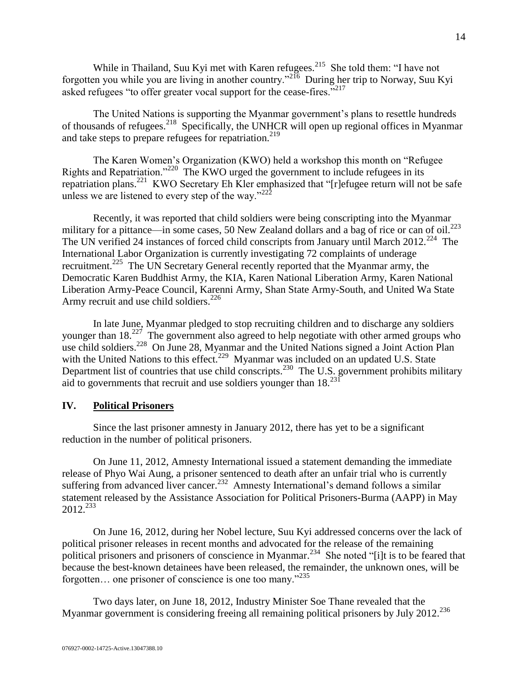While in Thailand, Suu Kyi met with Karen refugees. $^{215}$  She told them: "I have not forgotten you while you are living in another country."<sup>216</sup> During her trip to Norway, Suu Kyi asked refugees "to offer greater vocal support for the cease-fires."<sup>217</sup>

The United Nations is supporting the Myanmar government's plans to resettle hundreds of thousands of refugees.<sup>218</sup> Specifically, the UNHCR will open up regional offices in Myanmar and take steps to prepare refugees for repatriation. $219$ 

The Karen Women's Organization (KWO) held a workshop this month on "Refugee Rights and Repatriation."<sup>220</sup> The KWO urged the government to include refugees in its repatriation plans.<sup>221</sup> KWO Secretary Eh Kler emphasized that "[r]efugee return will not be safe unless we are listened to every step of the way." $222$ 

Recently, it was reported that child soldiers were being conscripting into the Myanmar military for a pittance—in some cases, 50 New Zealand dollars and a bag of rice or can of oil.<sup>223</sup> The UN verified 24 instances of forced child conscripts from January until March 2012.<sup>224</sup> The International Labor Organization is currently investigating 72 complaints of underage recruitment.<sup>225</sup> The UN Secretary General recently reported that the Myanmar army, the Democratic Karen Buddhist Army, the KIA, Karen National Liberation Army, Karen National Liberation Army-Peace Council, Karenni Army, Shan State Army-South, and United Wa State Army recruit and use child soldiers.  $226$ 

In late June, Myanmar pledged to stop recruiting children and to discharge any soldiers younger than 18.<sup>227</sup> The government also agreed to help negotiate with other armed groups who use child soldiers.<sup>228</sup> On June 28, Myanmar and the United Nations signed a Joint Action Plan with the United Nations to this effect.<sup>229</sup> Myanmar was included on an updated U.S. State Department list of countries that use child conscripts.<sup>230</sup> The U.S. government prohibits military aid to governments that recruit and use soldiers younger than  $18.<sup>231</sup>$ 

## <span id="page-13-0"></span>**IV. Political Prisoners**

Since the last prisoner amnesty in January 2012, there has yet to be a significant reduction in the number of political prisoners.

On June 11, 2012, Amnesty International issued a statement demanding the immediate release of Phyo Wai Aung, a prisoner sentenced to death after an unfair trial who is currently suffering from advanced liver cancer.<sup>232</sup> Amnesty International's demand follows a similar statement released by the Assistance Association for Political Prisoners-Burma (AAPP) in May  $2012^{233}$ 

On June 16, 2012, during her Nobel lecture, Suu Kyi addressed concerns over the lack of political prisoner releases in recent months and advocated for the release of the remaining political prisoners and prisoners of conscience in Myanmar.<sup>234</sup> She noted "[i]t is to be feared that because the best-known detainees have been released, the remainder, the unknown ones, will be forgotten… one prisoner of conscience is one too many."<sup>235</sup>

Two days later, on June 18, 2012, Industry Minister Soe Thane revealed that the Myanmar government is considering freeing all remaining political prisoners by July 2012.<sup>236</sup>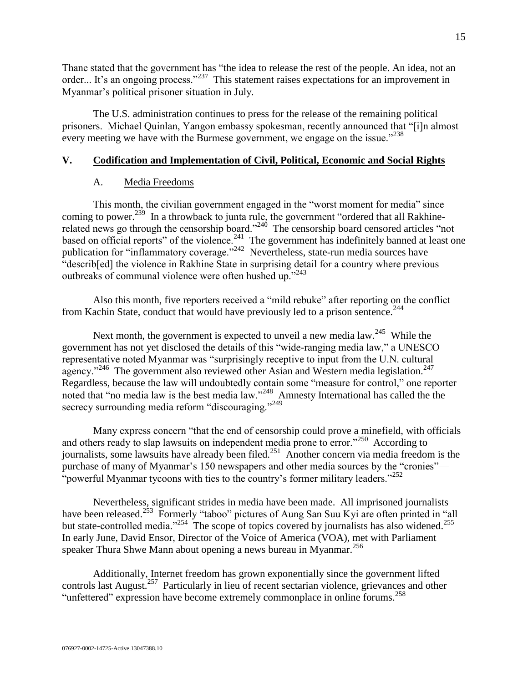Thane stated that the government has "the idea to release the rest of the people. An idea, not an order... It's an ongoing process."<sup>237</sup> This statement raises expectations for an improvement in Myanmar's political prisoner situation in July.

The U.S. administration continues to press for the release of the remaining political prisoners. Michael Quinlan, Yangon embassy spokesman, recently announced that "[i]n almost every meeting we have with the Burmese government, we engage on the issue."<sup>238</sup>

## <span id="page-14-1"></span><span id="page-14-0"></span>**V. Codification and Implementation of Civil, Political, Economic and Social Rights**

## A. Media Freedoms

This month, the civilian government engaged in the "worst moment for media" since coming to power.<sup>239</sup> In a throwback to junta rule, the government "ordered that all Rakhinerelated news go through the censorship board."<sup>240</sup> The censorship board censored articles "not based on official reports" of the violence. $^{241}$  The government has indefinitely banned at least one publication for "inflammatory coverage." $^{242}$  Nevertheless, state-run media sources have "describ[ed] the violence in Rakhine State in surprising detail for a country where previous outbreaks of communal violence were often hushed up."<sup>243</sup>

Also this month, five reporters received a "mild rebuke" after reporting on the conflict from Kachin State, conduct that would have previously led to a prison sentence.<sup>244</sup>

Next month, the government is expected to unveil a new media  $law.<sup>245</sup>$  While the government has not yet disclosed the details of this "wide-ranging media law," a UNESCO representative noted Myanmar was "surprisingly receptive to input from the U.N. cultural agency."<sup>246</sup> The government also reviewed other Asian and Western media legislation.<sup>247</sup> Regardless, because the law will undoubtedly contain some "measure for control," one reporter noted that "no media law is the best media law."<sup>248</sup> Amnesty International has called the the secrecy surrounding media reform "discouraging."<sup>249</sup>

Many express concern "that the end of censorship could prove a minefield, with officials and others ready to slap lawsuits on independent media prone to error."<sup>250</sup> According to journalists, some lawsuits have already been filed.<sup>251</sup> Another concern via media freedom is the purchase of many of Myanmar's 150 newspapers and other media sources by the "cronies"— "powerful Myanmar tycoons with ties to the country's former military leaders." $^{252}$ 

Nevertheless, significant strides in media have been made. All imprisoned journalists have been released.<sup>253</sup> Formerly "taboo" pictures of Aung San Suu Kyi are often printed in "all but state-controlled media."<sup>254</sup> The scope of topics covered by journalists has also widened.<sup>255</sup> In early June, David Ensor, Director of the Voice of America (VOA), met with Parliament speaker Thura Shwe Mann about opening a news bureau in Myanmar.<sup>256</sup>

Additionally, Internet freedom has grown exponentially since the government lifted controls last August.<sup>257</sup> Particularly in lieu of recent sectarian violence, grievances and other "unfettered" expression have become extremely commonplace in online forums.<sup>258</sup>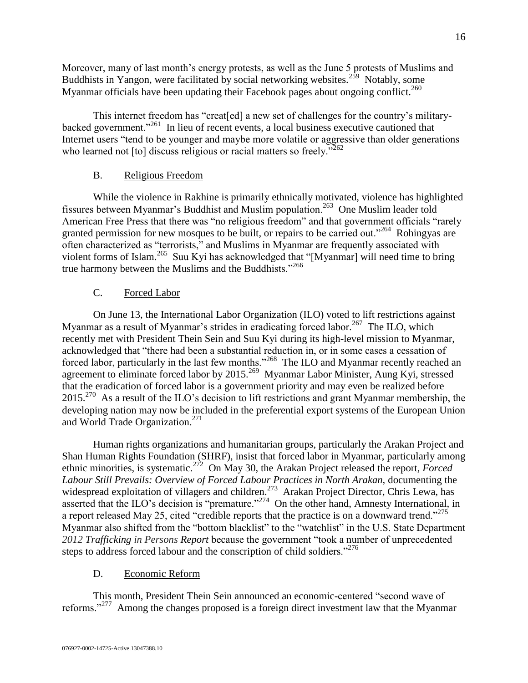Moreover, many of last month's energy protests, as well as the June 5 protests of Muslims and Buddhists in Yangon, were facilitated by social networking websites.<sup>259</sup> Notably, some Myanmar officials have been updating their Facebook pages about ongoing conflict.<sup>260</sup>

This internet freedom has "creat[ed] a new set of challenges for the country's militarybacked government."<sup>261</sup> In lieu of recent events, a local business executive cautioned that Internet users "tend to be younger and maybe more volatile or aggressive than older generations who learned not [to] discuss religious or racial matters so freely."<sup>262</sup>

# B. Religious Freedom

<span id="page-15-0"></span>While the violence in Rakhine is primarily ethnically motivated, violence has highlighted fissures between Myanmar's Buddhist and Muslim population.<sup>263</sup> One Muslim leader told American Free Press that there was "no religious freedom" and that government officials "rarely granted permission for new mosques to be built, or repairs to be carried out."<sup>264</sup> Rohingyas are often characterized as "terrorists," and Muslims in Myanmar are frequently associated with violent forms of Islam.<sup>265</sup> Suu Kyi has acknowledged that "[Myanmar] will need time to bring true harmony between the Muslims and the Buddhists."<sup>266</sup>

# C. Forced Labor

<span id="page-15-1"></span>On June 13, the International Labor Organization (ILO) voted to lift restrictions against Myanmar as a result of Myanmar's strides in eradicating forced labor.<sup>267</sup> The ILO, which recently met with President Thein Sein and Suu Kyi during its high-level mission to Myanmar, acknowledged that "there had been a substantial reduction in, or in some cases a cessation of forced labor, particularly in the last few months."<sup>268</sup> The ILO and Myanmar recently reached an agreement to eliminate forced labor by 2015.<sup>269</sup> Myanmar Labor Minister, Aung Kyi, stressed that the eradication of forced labor is a government priority and may even be realized before 2015.<sup>270</sup> As a result of the ILO's decision to lift restrictions and grant Myanmar membership, the developing nation may now be included in the preferential export systems of the European Union and World Trade Organization.<sup>271</sup>

Human rights organizations and humanitarian groups, particularly the Arakan Project and Shan Human Rights Foundation (SHRF), insist that forced labor in Myanmar, particularly among ethnic minorities, is systematic.<sup>272</sup> On May 30, the Arakan Project released the report, *Forced* Labour Still Prevails: Overview of Forced Labour Practices in North Arakan, documenting the widespread exploitation of villagers and children.<sup>273</sup> Arakan Project Director, Chris Lewa, has asserted that the ILO's decision is "premature."<sup>274</sup> On the other hand, Amnesty International, in a report released May 25, cited "credible reports that the practice is on a downward trend."<sup>275</sup> Myanmar also shifted from the "bottom blacklist" to the "watchlist" in the U.S. State Department *2012 Trafficking in Persons Report* because the government "took a number of unprecedented steps to address forced labour and the conscription of child soldiers."<sup>276</sup>

# D. Economic Reform

<span id="page-15-2"></span>This month, President Thein Sein announced an economic-centered "second wave of reforms."<sup>277</sup> Among the changes proposed is a foreign direct investment law that the Myanmar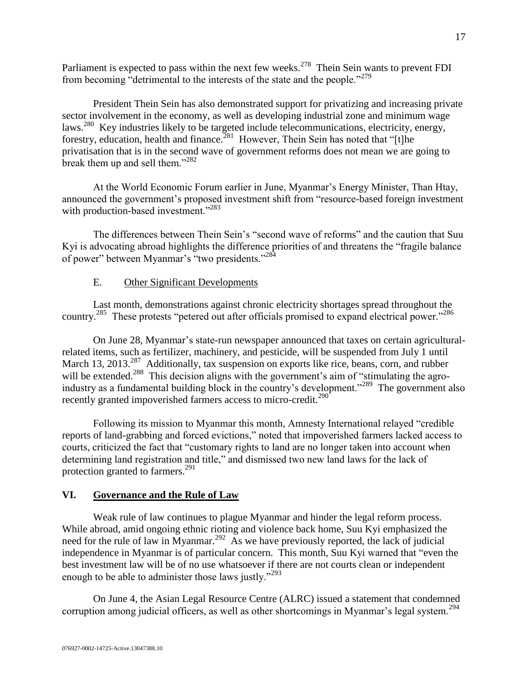Parliament is expected to pass within the next few weeks.<sup>278</sup> Thein Sein wants to prevent FDI from becoming "detrimental to the interests of the state and the people."<sup>279</sup>

President Thein Sein has also demonstrated support for privatizing and increasing private sector involvement in the economy, as well as developing industrial zone and minimum wage laws.<sup>280</sup> Key industries likely to be targeted include telecommunications, electricity, energy, forestry, education, health and finance.<sup>281</sup> However, Thein Sein has noted that "[t]he privatisation that is in the second wave of government reforms does not mean we are going to break them up and sell them."<sup>282</sup>

At the World Economic Forum earlier in June, Myanmar's Energy Minister, Than Htay, announced the government's proposed investment shift from "resource-based foreign investment with production-based investment."<sup>283</sup>

The differences between Thein Sein's "second wave of reforms" and the caution that Suu Kyi is advocating abroad highlights the difference priorities of and threatens the "fragile balance of power" between Myanmar's "two presidents."<sup>284</sup>

## E. Other Significant Developments

<span id="page-16-0"></span>Last month, demonstrations against chronic electricity shortages spread throughout the country.<sup>285</sup> These protests "petered out after officials promised to expand electrical power."<sup>286</sup>

On June 28, Myanmar's state-run newspaper announced that taxes on certain agriculturalrelated items, such as fertilizer, machinery, and pesticide, will be suspended from July 1 until March 13, 2013.<sup>287</sup> Additionally, tax suspension on exports like rice, beans, corn, and rubber will be extended.<sup>288</sup> This decision aligns with the government's aim of "stimulating the agroindustry as a fundamental building block in the country's development."<sup>289</sup> The government also recently granted impoverished farmers access to micro-credit.<sup>290</sup>

Following its mission to Myanmar this month, Amnesty International relayed "credible reports of land-grabbing and forced evictions," noted that impoverished farmers lacked access to courts, criticized the fact that "customary rights to land are no longer taken into account when determining land registration and title," and dismissed two new land laws for the lack of protection granted to farmers.<sup>291</sup>

## <span id="page-16-1"></span>**VI. Governance and the Rule of Law**

Weak rule of law continues to plague Myanmar and hinder the legal reform process. While abroad, amid ongoing ethnic rioting and violence back home, Suu Kyi emphasized the need for the rule of law in Myanmar.<sup>292</sup> As we have previously reported, the lack of judicial independence in Myanmar is of particular concern. This month, Suu Kyi warned that "even the best investment law will be of no use whatsoever if there are not courts clean or independent enough to be able to administer those laws justly."<sup>293</sup>

On June 4, the Asian Legal Resource Centre (ALRC) issued a statement that condemned corruption among judicial officers, as well as other shortcomings in Myanmar's legal system.<sup>294</sup>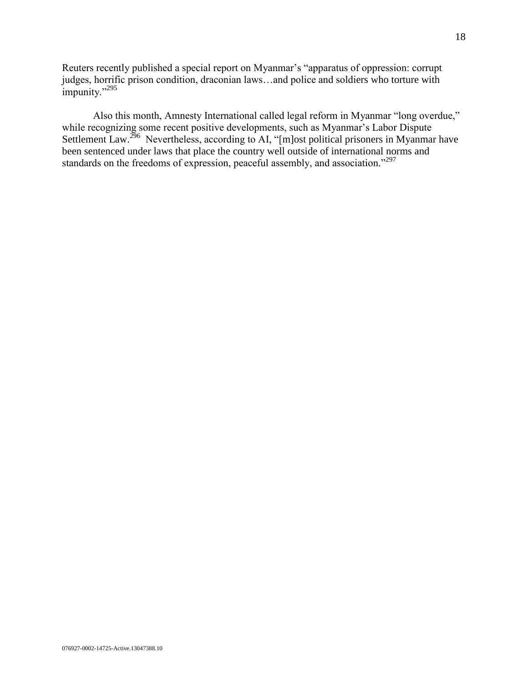Reuters recently published a special report on Myanmar's "apparatus of oppression: corrupt judges, horrific prison condition, draconian laws…and police and soldiers who torture with impunity."<sup>295</sup>

Also this month, Amnesty International called legal reform in Myanmar "long overdue," while recognizing some recent positive developments, such as Myanmar's Labor Dispute Settlement Law.<sup>296</sup> Nevertheless, according to AI, "[m]ost political prisoners in Myanmar have been sentenced under laws that place the country well outside of international norms and standards on the freedoms of expression, peaceful assembly, and association."<sup>297</sup>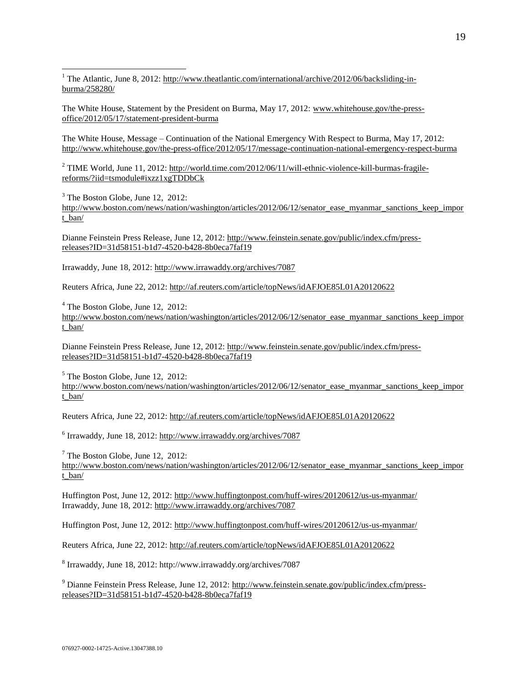<sup>1</sup> The Atlantic, June 8, 2012: [http://www.theatlantic.com/international/archive/2012/06/backsliding-in](http://www.theatlantic.com/international/archive/2012/06/backsliding-in-burma/258280/)[burma/258280/](http://www.theatlantic.com/international/archive/2012/06/backsliding-in-burma/258280/)

The White House, Statement by the President on Burma, May 17, 2012: [www.whitehouse.gov/the-press](http://www.whitehouse.gov/the-press-office/2012/05/17/statement-president-burma)[office/2012/05/17/statement-president-burma](http://www.whitehouse.gov/the-press-office/2012/05/17/statement-president-burma) 

The White House, Message – Continuation of the National Emergency With Respect to Burma, May 17, 2012: <http://www.whitehouse.gov/the-press-office/2012/05/17/message-continuation-national-emergency-respect-burma>

<sup>2</sup> TIME World, June 11, 2012: [http://world.time.com/2012/06/11/will-ethnic-violence-kill-burmas-fragile](http://world.time.com/2012/06/11/will-ethnic-violence-kill-burmas-fragile-reforms/?iid=tsmodule#ixzz1xgTDDbCk)[reforms/?iid=tsmodule#ixzz1xgTDDbCk](http://world.time.com/2012/06/11/will-ethnic-violence-kill-burmas-fragile-reforms/?iid=tsmodule#ixzz1xgTDDbCk)

 $3$  The Boston Globe, June 12, 2012: http://www.boston.com/news/nation/washington/articles/2012/06/12/senator ease myanmar sanctions keep impor [t\\_ban/](http://www.boston.com/news/nation/washington/articles/2012/06/12/senator_ease_myanmar_sanctions_keep_import_ban/)

Dianne Feinstein Press Release, June 12, 2012: [http://www.feinstein.senate.gov/public/index.cfm/press](http://www.feinstein.senate.gov/public/index.cfm/press-releases?ID=31d58151-b1d7-4520-b428-8b0eca7faf19)[releases?ID=31d58151-b1d7-4520-b428-8b0eca7faf19](http://www.feinstein.senate.gov/public/index.cfm/press-releases?ID=31d58151-b1d7-4520-b428-8b0eca7faf19)

Irrawaddy, June 18, 2012:<http://www.irrawaddy.org/archives/7087>

 $\overline{a}$ 

Reuters Africa, June 22, 2012[: http://af.reuters.com/article/topNews/idAFJOE85L01A20120622](http://af.reuters.com/article/topNews/idAFJOE85L01A20120622) 

 $4$  The Boston Globe, June 12, 2012: http://www.boston.com/news/nation/washington/articles/2012/06/12/senator ease myanmar sanctions keep impor [t\\_ban/](http://www.boston.com/news/nation/washington/articles/2012/06/12/senator_ease_myanmar_sanctions_keep_import_ban/)

Dianne Feinstein Press Release, June 12, 2012: [http://www.feinstein.senate.gov/public/index.cfm/press](http://www.feinstein.senate.gov/public/index.cfm/press-releases?ID=31d58151-b1d7-4520-b428-8b0eca7faf19)[releases?ID=31d58151-b1d7-4520-b428-8b0eca7faf19](http://www.feinstein.senate.gov/public/index.cfm/press-releases?ID=31d58151-b1d7-4520-b428-8b0eca7faf19)

 $<sup>5</sup>$  The Boston Globe, June 12, 2012:</sup> http://www.boston.com/news/nation/washington/articles/2012/06/12/senator ease myanmar sanctions keep impor [t\\_ban/](http://www.boston.com/news/nation/washington/articles/2012/06/12/senator_ease_myanmar_sanctions_keep_import_ban/)

Reuters Africa, June 22, 2012[: http://af.reuters.com/article/topNews/idAFJOE85L01A20120622](http://af.reuters.com/article/topNews/idAFJOE85L01A20120622) 

<sup>6</sup> Irrawaddy, June 18, 2012: http://www.irrawaddy.org/archives/7087

 $<sup>7</sup>$  The Boston Globe, June 12, 2012:</sup> [http://www.boston.com/news/nation/washington/articles/2012/06/12/senator\\_ease\\_myanmar\\_sanctions\\_keep\\_impor](http://www.boston.com/news/nation/washington/articles/2012/06/12/senator_ease_myanmar_sanctions_keep_import_ban/) [t\\_ban/](http://www.boston.com/news/nation/washington/articles/2012/06/12/senator_ease_myanmar_sanctions_keep_import_ban/)

Huffington Post, June 12, 2012:<http://www.huffingtonpost.com/huff-wires/20120612/us-us-myanmar/> Irrawaddy, June 18, 2012:<http://www.irrawaddy.org/archives/7087>

Huffington Post, June 12, 2012:<http://www.huffingtonpost.com/huff-wires/20120612/us-us-myanmar/>

Reuters Africa, June 22, 2012[: http://af.reuters.com/article/topNews/idAFJOE85L01A20120622](http://af.reuters.com/article/topNews/idAFJOE85L01A20120622) 

8 Irrawaddy, June 18, 2012:<http://www.irrawaddy.org/archives/7087>

<sup>9</sup> Dianne Feinstein Press Release, June 12, 2012: [http://www.feinstein.senate.gov/public/index.cfm/press](http://www.feinstein.senate.gov/public/index.cfm/press-releases?ID=31d58151-b1d7-4520-b428-8b0eca7faf19)[releases?ID=31d58151-b1d7-4520-b428-8b0eca7faf19](http://www.feinstein.senate.gov/public/index.cfm/press-releases?ID=31d58151-b1d7-4520-b428-8b0eca7faf19)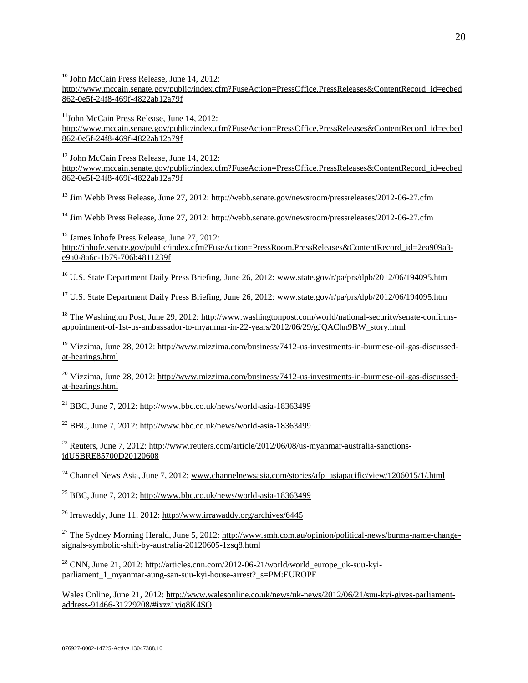<sup>10</sup> John McCain Press Release, June 14, 2012:

 $\overline{a}$ 

[http://www.mccain.senate.gov/public/index.cfm?FuseAction=PressOffice.PressReleases&ContentRecord\\_id=ecbed](http://www.mccain.senate.gov/public/index.cfm?FuseAction=PressOffice.PressReleases&ContentRecord_id=ecbed862-0e5f-24f8-469f-4822ab12a79f) [862-0e5f-24f8-469f-4822ab12a79f](http://www.mccain.senate.gov/public/index.cfm?FuseAction=PressOffice.PressReleases&ContentRecord_id=ecbed862-0e5f-24f8-469f-4822ab12a79f)

 $11$ John McCain Press Release, June 14, 2012: [http://www.mccain.senate.gov/public/index.cfm?FuseAction=PressOffice.PressReleases&ContentRecord\\_id=ecbed](http://www.mccain.senate.gov/public/index.cfm?FuseAction=PressOffice.PressReleases&ContentRecord_id=ecbed862-0e5f-24f8-469f-4822ab12a79f) [862-0e5f-24f8-469f-4822ab12a79f](http://www.mccain.senate.gov/public/index.cfm?FuseAction=PressOffice.PressReleases&ContentRecord_id=ecbed862-0e5f-24f8-469f-4822ab12a79f) 

<sup>12</sup> John McCain Press Release, June 14, 2012: [http://www.mccain.senate.gov/public/index.cfm?FuseAction=PressOffice.PressReleases&ContentRecord\\_id=ecbed](http://www.mccain.senate.gov/public/index.cfm?FuseAction=PressOffice.PressReleases&ContentRecord_id=ecbed862-0e5f-24f8-469f-4822ab12a79f) [862-0e5f-24f8-469f-4822ab12a79f](http://www.mccain.senate.gov/public/index.cfm?FuseAction=PressOffice.PressReleases&ContentRecord_id=ecbed862-0e5f-24f8-469f-4822ab12a79f)

<sup>13</sup> Jim Webb Press Release, June 27, 2012:<http://webb.senate.gov/newsroom/pressreleases/2012-06-27.cfm>

<sup>14</sup> Jim Webb Press Release, June 27, 2012:<http://webb.senate.gov/newsroom/pressreleases/2012-06-27.cfm>

<sup>15</sup> James Inhofe Press Release, June 27, 2012: [http://inhofe.senate.gov/public/index.cfm?FuseAction=PressRoom.PressReleases&ContentRecord\\_id=2ea909a3](http://inhofe.senate.gov/public/index.cfm?FuseAction=PressRoom.PressReleases&ContentRecord_id=2ea909a3-e9a0-8a6c-1b79-706b4811239f) [e9a0-8a6c-1b79-706b4811239f](http://inhofe.senate.gov/public/index.cfm?FuseAction=PressRoom.PressReleases&ContentRecord_id=2ea909a3-e9a0-8a6c-1b79-706b4811239f)

<sup>16</sup> U.S. State Department Daily Press Briefing, June 26, 2012: www.state.gov/r/pa/prs/dpb/2012/06/194095.htm

<sup>17</sup> U.S. State Department Daily Press Briefing, June 26, 2012: [www.state.gov/r/pa/prs/dpb/2012/06/194095.htm](http://www.state.gov/r/pa/prs/dpb/2012/06/194095.htm)

<sup>18</sup> The Washington Post, June 29, 2012: [http://www.washingtonpost.com/world/national-security/senate-confirms](http://www.washingtonpost.com/world/national-security/senate-confirms-appointment-of-1st-us-ambassador-to-myanmar-in-22-years/2012/06/29/gJQAChn9BW_story.html)[appointment-of-1st-us-ambassador-to-myanmar-in-22-years/2012/06/29/gJQAChn9BW\\_story.html](http://www.washingtonpost.com/world/national-security/senate-confirms-appointment-of-1st-us-ambassador-to-myanmar-in-22-years/2012/06/29/gJQAChn9BW_story.html) 

<sup>19</sup> Mizzima, June 28, 2012[: http://www.mizzima.com/business/7412-us-investments-in-burmese-oil-gas-discussed](http://www.mizzima.com/business/7412-us-investments-in-burmese-oil-gas-discussed-at-hearings.html)[at-hearings.html](http://www.mizzima.com/business/7412-us-investments-in-burmese-oil-gas-discussed-at-hearings.html)

<sup>20</sup> Mizzima, June 28, 2012[: http://www.mizzima.com/business/7412-us-investments-in-burmese-oil-gas-discussed](http://www.mizzima.com/business/7412-us-investments-in-burmese-oil-gas-discussed-at-hearings.html)[at-hearings.html](http://www.mizzima.com/business/7412-us-investments-in-burmese-oil-gas-discussed-at-hearings.html)

 $^{21}$  BBC, June 7, 2012: <http://www.bbc.co.uk/news/world-asia-18363499>

 $^{22}$  BBC, June 7, 2012:<http://www.bbc.co.uk/news/world-asia-18363499>

<sup>23</sup> Reuters, June 7, 2012[: http://www.reuters.com/article/2012/06/08/us-myanmar-australia-sanctions](http://www.reuters.com/article/2012/06/08/us-myanmar-australia-sanctions-idUSBRE85700D20120608)[idUSBRE85700D20120608](http://www.reuters.com/article/2012/06/08/us-myanmar-australia-sanctions-idUSBRE85700D20120608) 

<sup>24</sup> Channel News Asia, June 7, 2012[: www.channelnewsasia.com/stories/afp\\_asiapacific/view/1206015/1/.html](http://www.channelnewsasia.com/stories/afp_asiapacific/view/1206015/1/.html)

 $^{25}$  BBC, June 7, 2012:<http://www.bbc.co.uk/news/world-asia-18363499>

<sup>26</sup> Irrawaddy, June 11, 2012:<http://www.irrawaddy.org/archives/6445>

 $^{27}$  The Sydney Morning Herald, June 5, 2012: [http://www.smh.com.au/opinion/political-news/burma-name-change](http://www.smh.com.au/opinion/political-news/burma-name-change-signals-symbolic-shift-by-australia-20120605-1zsq8.html)[signals-symbolic-shift-by-australia-20120605-1zsq8.html](http://www.smh.com.au/opinion/political-news/burma-name-change-signals-symbolic-shift-by-australia-20120605-1zsq8.html)

 $^{28}$  CNN, June 21, 2012: [http://articles.cnn.com/2012-06-21/world/world\\_europe\\_uk-suu-kyi](http://articles.cnn.com/2012-06-21/world/world_europe_uk-suu-kyi-parliament_1_myanmar-aung-san-suu-kyi-house-arrest?_s=PM:EUROPE)parliament\_1\_myanmar-aung-san-suu-kyi-house-arrest? s=PM:EUROPE

Wales Online, June 21, 2012: [http://www.walesonline.co.uk/news/uk-news/2012/06/21/suu-kyi-gives-parliament](http://www.walesonline.co.uk/news/uk-news/2012/06/21/suu-kyi-gives-parliament-address-91466-31229208/#ixzz1yiq8K4SO)[address-91466-31229208/#ixzz1yiq8K4SO](http://www.walesonline.co.uk/news/uk-news/2012/06/21/suu-kyi-gives-parliament-address-91466-31229208/#ixzz1yiq8K4SO)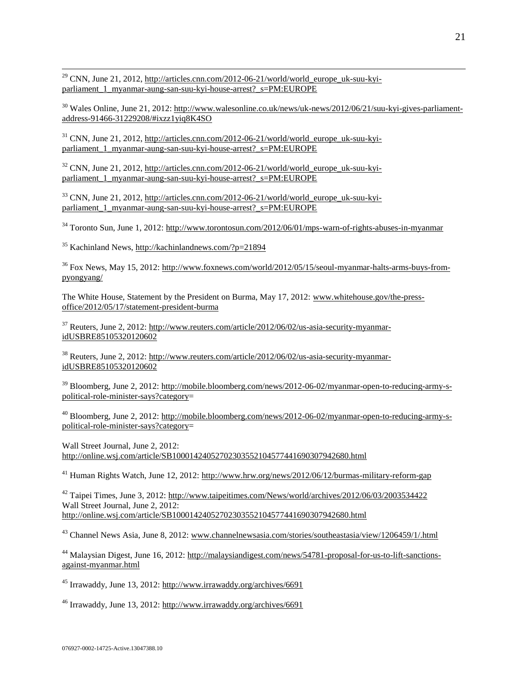$\overline{a}$ <sup>29</sup> CNN, June 21, 2012, [http://articles.cnn.com/2012-06-21/world/world\\_europe\\_uk-suu-kyi](http://articles.cnn.com/2012-06-21/world/world_europe_uk-suu-kyi-parliament_1_myanmar-aung-san-suu-kyi-house-arrest?_s=PM:EUROPE)parliament 1 myanmar-aung-san-suu-kyi-house-arrest? s=PM:EUROPE

<sup>30</sup> Wales Online, June 21, 2012: [http://www.walesonline.co.uk/news/uk-news/2012/06/21/suu-kyi-gives-parliament](http://www.walesonline.co.uk/news/uk-news/2012/06/21/suu-kyi-gives-parliament-address-91466-31229208/#ixzz1yiq8K4SO)[address-91466-31229208/#ixzz1yiq8K4SO](http://www.walesonline.co.uk/news/uk-news/2012/06/21/suu-kyi-gives-parliament-address-91466-31229208/#ixzz1yiq8K4SO)

<sup>31</sup> CNN, June 21, 2012, [http://articles.cnn.com/2012-06-21/world/world\\_europe\\_uk-suu-kyi](http://articles.cnn.com/2012-06-21/world/world_europe_uk-suu-kyi-parliament_1_myanmar-aung-san-suu-kyi-house-arrest?_s=PM:EUROPE)parliament 1 myanmar-aung-san-suu-kyi-house-arrest? s=PM:EUROPE

 $32$  CNN, June 21, 2012, [http://articles.cnn.com/2012-06-21/world/world\\_europe\\_uk-suu-kyi](http://articles.cnn.com/2012-06-21/world/world_europe_uk-suu-kyi-parliament_1_myanmar-aung-san-suu-kyi-house-arrest?_s=PM:EUROPE)[parliament\\_1\\_myanmar-aung-san-suu-kyi-house-arrest?\\_s=PM:EUROPE](http://articles.cnn.com/2012-06-21/world/world_europe_uk-suu-kyi-parliament_1_myanmar-aung-san-suu-kyi-house-arrest?_s=PM:EUROPE)

<sup>33</sup> CNN, June 21, 2012, [http://articles.cnn.com/2012-06-21/world/world\\_europe\\_uk-suu-kyi](http://articles.cnn.com/2012-06-21/world/world_europe_uk-suu-kyi-parliament_1_myanmar-aung-san-suu-kyi-house-arrest?_s=PM:EUROPE)[parliament\\_1\\_myanmar-aung-san-suu-kyi-house-arrest?\\_s=PM:EUROPE](http://articles.cnn.com/2012-06-21/world/world_europe_uk-suu-kyi-parliament_1_myanmar-aung-san-suu-kyi-house-arrest?_s=PM:EUROPE)

<sup>34</sup> Toronto Sun, June 1, 2012:<http://www.torontosun.com/2012/06/01/mps-warn-of-rights-abuses-in-myanmar>

<sup>35</sup> Kachinland News,<http://kachinlandnews.com/?p=21894>

<sup>36</sup> Fox News, May 15, 2012: [http://www.foxnews.com/world/2012/05/15/seoul-myanmar-halts-arms-buys-from](http://www.foxnews.com/world/2012/05/15/seoul-myanmar-halts-arms-buys-from-pyongyang/)[pyongyang/](http://www.foxnews.com/world/2012/05/15/seoul-myanmar-halts-arms-buys-from-pyongyang/)

The White House, Statement by the President on Burma, May 17, 2012: [www.whitehouse.gov/the-press](http://www.whitehouse.gov/the-press-office/2012/05/17/statement-president-burma)[office/2012/05/17/statement-president-burma](http://www.whitehouse.gov/the-press-office/2012/05/17/statement-president-burma)

<sup>37</sup> Reuters, June 2, 2012[: http://www.reuters.com/article/2012/06/02/us-asia-security-myanmar](http://www.reuters.com/article/2012/06/02/us-asia-security-myanmar-idUSBRE85105320120602)[idUSBRE85105320120602](http://www.reuters.com/article/2012/06/02/us-asia-security-myanmar-idUSBRE85105320120602)

<sup>38</sup> Reuters, June 2, 2012[: http://www.reuters.com/article/2012/06/02/us-asia-security-myanmar](http://www.reuters.com/article/2012/06/02/us-asia-security-myanmar-idUSBRE85105320120602)[idUSBRE85105320120602](http://www.reuters.com/article/2012/06/02/us-asia-security-myanmar-idUSBRE85105320120602)

<sup>39</sup> Bloomberg, June 2, 2012: [http://mobile.bloomberg.com/news/2012-06-02/myanmar-open-to-reducing-army-s](http://mobile.bloomberg.com/news/2012-06-02/myanmar-open-to-reducing-army-s-political-role-minister-says?category)[political-role-minister-says?category=](http://mobile.bloomberg.com/news/2012-06-02/myanmar-open-to-reducing-army-s-political-role-minister-says?category)

<sup>40</sup> Bloomberg, June 2, 2012: [http://mobile.bloomberg.com/news/2012-06-02/myanmar-open-to-reducing-army-s](http://mobile.bloomberg.com/news/2012-06-02/myanmar-open-to-reducing-army-s-political-role-minister-says?category)[political-role-minister-says?category=](http://mobile.bloomberg.com/news/2012-06-02/myanmar-open-to-reducing-army-s-political-role-minister-says?category)

Wall Street Journal, June 2, 2012: <http://online.wsj.com/article/SB10001424052702303552104577441690307942680.html>

<sup>41</sup> Human Rights Watch, June 12, 2012:<http://www.hrw.org/news/2012/06/12/burmas-military-reform-gap>

<sup>42</sup> Taipei Times, June 3, 2012:<http://www.taipeitimes.com/News/world/archives/2012/06/03/2003534422> Wall Street Journal, June 2, 2012: <http://online.wsj.com/article/SB10001424052702303552104577441690307942680.html>

<sup>43</sup> Channel News Asia, June 8, 2012[: www.channelnewsasia.com/stories/southeastasia/view/1206459/1/.html](http://www.channelnewsasia.com/stories/southeastasia/view/1206459/1/.html)

<sup>44</sup> Malaysian Digest, June 16, 2012: [http://malaysiandigest.com/news/54781-proposal-for-us-to-lift-sanctions](http://malaysiandigest.com/news/54781-proposal-for-us-to-lift-sanctions-against-myanmar.html)[against-myanmar.html](http://malaysiandigest.com/news/54781-proposal-for-us-to-lift-sanctions-against-myanmar.html)

<sup>45</sup> Irrawaddy, June 13, 2012:<http://www.irrawaddy.org/archives/6691>

<sup>46</sup> Irrawaddy, June 13, 2012:<http://www.irrawaddy.org/archives/6691>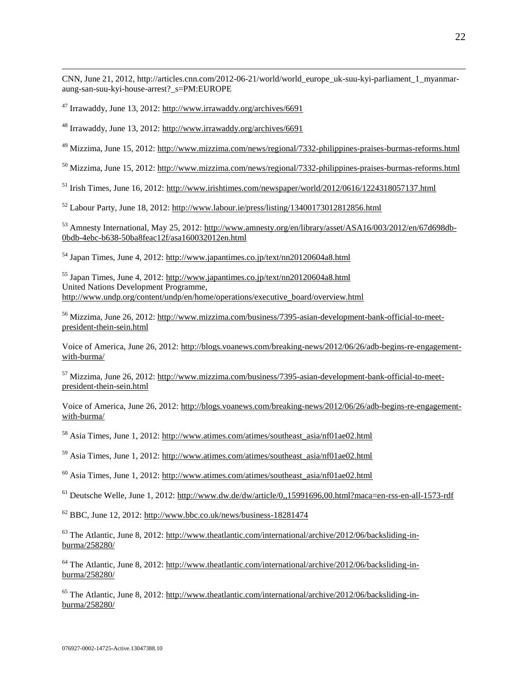CNN, June 21, 2012, [http://articles.cnn.com/2012-06-21/world/world\\_europe\\_uk-suu-kyi-parliament\\_1\\_myanmar](http://articles.cnn.com/2012-06-21/world/world_europe_uk-suu-kyi-parliament_1_myanmar-aung-san-suu-kyi-house-arrest?_s=PM:EUROPE)[aung-san-suu-kyi-house-arrest?\\_s=PM:EUROPE](http://articles.cnn.com/2012-06-21/world/world_europe_uk-suu-kyi-parliament_1_myanmar-aung-san-suu-kyi-house-arrest?_s=PM:EUROPE)

<sup>47</sup> Irrawaddy, June 13, 2012:<http://www.irrawaddy.org/archives/6691>

 $\overline{a}$ 

<sup>48</sup> Irrawaddy, June 13, 2012:<http://www.irrawaddy.org/archives/6691>

<sup>49</sup> Mizzima, June 15, 2012[: http://www.mizzima.com/news/regional/7332-philippines-praises-burmas-reforms.html](http://www.mizzima.com/news/regional/7332-philippines-praises-burmas-reforms.html)

<sup>50</sup> Mizzima, June 15, 2012[: http://www.mizzima.com/news/regional/7332-philippines-praises-burmas-reforms.html](http://www.mizzima.com/news/regional/7332-philippines-praises-burmas-reforms.html)

 $<sup>51</sup>$  Irish Times, June 16, 2012:<http://www.irishtimes.com/newspaper/world/2012/0616/1224318057137.html></sup>

<sup>52</sup> Labour Party, June 18, 2012[: http://www.labour.ie/press/listing/13400173012812856.html](http://www.labour.ie/press/listing/13400173012812856.html)

<sup>53</sup> Amnesty International, May 25, 2012: [http://www.amnesty.org/en/library/asset/ASA16/003/2012/en/67d698db-](http://www.amnesty.org/en/library/asset/ASA16/003/2012/en/67d698db-0bdb-4ebc-b638-50ba8feac12f/asa160032012en.html)[0bdb-4ebc-b638-50ba8feac12f/asa160032012en.html](http://www.amnesty.org/en/library/asset/ASA16/003/2012/en/67d698db-0bdb-4ebc-b638-50ba8feac12f/asa160032012en.html)

 $<sup>54</sup>$  Japan Times, June 4, 2012:<http://www.japantimes.co.jp/text/nn20120604a8.html></sup>

<sup>55</sup> Japan Times, June 4, 2012:<http://www.japantimes.co.jp/text/nn20120604a8.html> United Nations Development Programme, [http://www.undp.org/content/undp/en/home/operations/executive\\_board/overview.html](http://www.undp.org/content/undp/en/home/operations/executive_board/overview.html)

<sup>56</sup> Mizzima, June 26, 2012[: http://www.mizzima.com/business/7395-asian-development-bank-official-to-meet](http://www.mizzima.com/business/7395-asian-development-bank-official-to-meet-president-thein-sein.html)[president-thein-sein.html](http://www.mizzima.com/business/7395-asian-development-bank-official-to-meet-president-thein-sein.html) 

Voice of America, June 26, 2012[: http://blogs.voanews.com/breaking-news/2012/06/26/adb-begins-re-engagement](http://blogs.voanews.com/breaking-news/2012/06/26/adb-begins-re-engagement-with-burma/)[with-burma/](http://blogs.voanews.com/breaking-news/2012/06/26/adb-begins-re-engagement-with-burma/) 

<sup>57</sup> Mizzima, June 26, 2012[: http://www.mizzima.com/business/7395-asian-development-bank-official-to-meet](http://www.mizzima.com/business/7395-asian-development-bank-official-to-meet-president-thein-sein.html)[president-thein-sein.html](http://www.mizzima.com/business/7395-asian-development-bank-official-to-meet-president-thein-sein.html) 

Voice of America, June 26, 2012[: http://blogs.voanews.com/breaking-news/2012/06/26/adb-begins-re-engagement](http://blogs.voanews.com/breaking-news/2012/06/26/adb-begins-re-engagement-with-burma/)[with-burma/](http://blogs.voanews.com/breaking-news/2012/06/26/adb-begins-re-engagement-with-burma/) 

<sup>58</sup> Asia Times, June 1, 2012: [http://www.atimes.com/atimes/southeast\\_asia/nf01ae02.html](http://www.atimes.com/atimes/southeast_asia/nf01ae02.html)

<sup>59</sup> Asia Times, June 1, 2012: [http://www.atimes.com/atimes/southeast\\_asia/nf01ae02.html](http://www.atimes.com/atimes/southeast_asia/nf01ae02.html)

 $^{60}$  Asia Times, June 1, 2012: [http://www.atimes.com/atimes/southeast\\_asia/nf01ae02.html](http://www.atimes.com/atimes/southeast_asia/nf01ae02.html)

<sup>61</sup> Deutsche Welle, June 1, 2012[: http://www.dw.de/dw/article/0,,15991696,00.html?maca=en-rss-en-all-1573-rdf](http://www.dw.de/dw/article/0,,15991696,00.html?maca=en-rss-en-all-1573-rdf)

 $62$  BBC, June 12, 2012:<http://www.bbc.co.uk/news/business-18281474>

 $^{63}$  The Atlantic, June 8, 2012: [http://www.theatlantic.com/international/archive/2012/06/backsliding-in](http://www.theatlantic.com/international/archive/2012/06/backsliding-in-burma/258280/)[burma/258280/](http://www.theatlantic.com/international/archive/2012/06/backsliding-in-burma/258280/)

<sup>64</sup> The Atlantic, June 8, 2012: [http://www.theatlantic.com/international/archive/2012/06/backsliding-in](http://www.theatlantic.com/international/archive/2012/06/backsliding-in-burma/258280/)[burma/258280/](http://www.theatlantic.com/international/archive/2012/06/backsliding-in-burma/258280/)

<sup>65</sup> The Atlantic, June 8, 2012: [http://www.theatlantic.com/international/archive/2012/06/backsliding-in](http://www.theatlantic.com/international/archive/2012/06/backsliding-in-burma/258280/)[burma/258280/](http://www.theatlantic.com/international/archive/2012/06/backsliding-in-burma/258280/)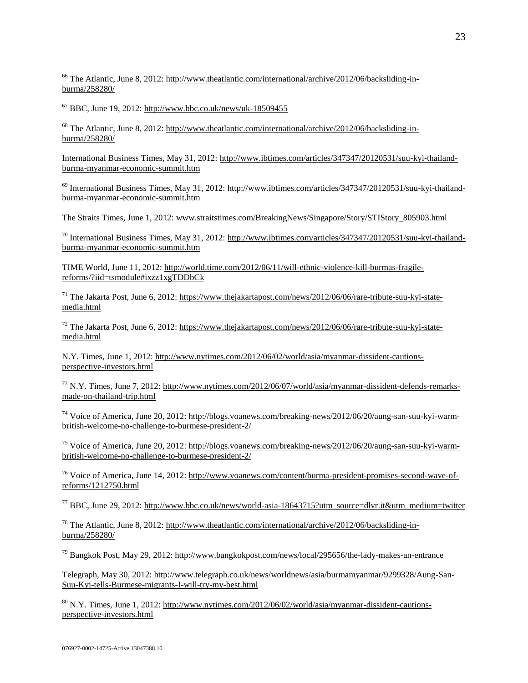<sup>66</sup> The Atlantic, June 8, 2012: [http://www.theatlantic.com/international/archive/2012/06/backsliding-in](http://www.theatlantic.com/international/archive/2012/06/backsliding-in-burma/258280/)[burma/258280/](http://www.theatlantic.com/international/archive/2012/06/backsliding-in-burma/258280/)

 $^{67}$  BBC, June 19, 2012:<http://www.bbc.co.uk/news/uk-18509455>

 $\overline{a}$ 

<sup>68</sup> The Atlantic, June 8, 2012: [http://www.theatlantic.com/international/archive/2012/06/backsliding-in](http://www.theatlantic.com/international/archive/2012/06/backsliding-in-burma/258280/)[burma/258280/](http://www.theatlantic.com/international/archive/2012/06/backsliding-in-burma/258280/)

International Business Times, May 31, 2012[: http://www.ibtimes.com/articles/347347/20120531/suu-kyi-thailand](http://www.ibtimes.com/articles/347347/20120531/suu-kyi-thailand-burma-myanmar-economic-summit.htm)[burma-myanmar-economic-summit.htm](http://www.ibtimes.com/articles/347347/20120531/suu-kyi-thailand-burma-myanmar-economic-summit.htm)

 $^{69}$  International Business Times, May 31, 2012: [http://www.ibtimes.com/articles/347347/20120531/suu-kyi-thailand](http://www.ibtimes.com/articles/347347/20120531/suu-kyi-thailand-burma-myanmar-economic-summit.htm)[burma-myanmar-economic-summit.htm](http://www.ibtimes.com/articles/347347/20120531/suu-kyi-thailand-burma-myanmar-economic-summit.htm)

The Straits Times, June 1, 2012: www.straitstimes.com/BreakingNews/Singapore/Story/STIStory 805903.html

<sup>70</sup> International Business Times, May 31, 2012: [http://www.ibtimes.com/articles/347347/20120531/suu-kyi-thailand](http://www.ibtimes.com/articles/347347/20120531/suu-kyi-thailand-burma-myanmar-economic-summit.htm)[burma-myanmar-economic-summit.htm](http://www.ibtimes.com/articles/347347/20120531/suu-kyi-thailand-burma-myanmar-economic-summit.htm)

TIME World, June 11, 2012[: http://world.time.com/2012/06/11/will-ethnic-violence-kill-burmas-fragile](http://world.time.com/2012/06/11/will-ethnic-violence-kill-burmas-fragile-reforms/?iid=tsmodule#ixzz1xgTDDbCk)[reforms/?iid=tsmodule#ixzz1xgTDDbCk](http://world.time.com/2012/06/11/will-ethnic-violence-kill-burmas-fragile-reforms/?iid=tsmodule#ixzz1xgTDDbCk)

<sup>71</sup> The Jakarta Post, June 6, 2012: [https://www.thejakartapost.com/news/2012/06/06/rare-tribute-suu-kyi-state](https://www.thejakartapost.com/news/2012/06/06/rare-tribute-suu-kyi-state-media.html)[media.html](https://www.thejakartapost.com/news/2012/06/06/rare-tribute-suu-kyi-state-media.html)

 $^{72}$  The Jakarta Post, June 6, 2012: [https://www.thejakartapost.com/news/2012/06/06/rare-tribute-suu-kyi-state](https://www.thejakartapost.com/news/2012/06/06/rare-tribute-suu-kyi-state-media.html)[media.html](https://www.thejakartapost.com/news/2012/06/06/rare-tribute-suu-kyi-state-media.html)

N.Y. Times, June 1, 2012: [http://www.nytimes.com/2012/06/02/world/asia/myanmar-dissident-cautions](http://www.nytimes.com/2012/06/02/world/asia/myanmar-dissident-cautions-perspective-investors.html)[perspective-investors.html](http://www.nytimes.com/2012/06/02/world/asia/myanmar-dissident-cautions-perspective-investors.html)

<sup>73</sup> N.Y. Times, June 7, 2012: [http://www.nytimes.com/2012/06/07/world/asia/myanmar-dissident-defends-remarks](http://www.nytimes.com/2012/06/07/world/asia/myanmar-dissident-defends-remarks-made-on-thailand-trip.html)[made-on-thailand-trip.html](http://www.nytimes.com/2012/06/07/world/asia/myanmar-dissident-defends-remarks-made-on-thailand-trip.html)

<sup>74</sup> Voice of America, June 20, 2012[: http://blogs.voanews.com/breaking-news/2012/06/20/aung-san-suu-kyi-warm](http://blogs.voanews.com/breaking-news/2012/06/20/aung-san-suu-kyi-warm-british-welcome-no-challenge-to-burmese-president-2/)[british-welcome-no-challenge-to-burmese-president-2/](http://blogs.voanews.com/breaking-news/2012/06/20/aung-san-suu-kyi-warm-british-welcome-no-challenge-to-burmese-president-2/)

<sup>75</sup> Voice of America, June 20, 2012[: http://blogs.voanews.com/breaking-news/2012/06/20/aung-san-suu-kyi-warm](http://blogs.voanews.com/breaking-news/2012/06/20/aung-san-suu-kyi-warm-british-welcome-no-challenge-to-burmese-president-2/)[british-welcome-no-challenge-to-burmese-president-2/](http://blogs.voanews.com/breaking-news/2012/06/20/aung-san-suu-kyi-warm-british-welcome-no-challenge-to-burmese-president-2/)

<sup>76</sup> Voice of America, June 14, 2012[: http://www.voanews.com/content/burma-president-promises-second-wave-of](http://www.voanews.com/content/burma-president-promises-second-wave-of-reforms/1212750.html)[reforms/1212750.html](http://www.voanews.com/content/burma-president-promises-second-wave-of-reforms/1212750.html)

<sup>77</sup> BBC, June 29, 2012: [http://www.bbc.co.uk/news/world-asia-18643715?utm\\_source=dlvr.it&utm\\_medium=twitter](http://www.bbc.co.uk/news/world-asia-18643715?utm_source=dlvr.it&utm_medium=twitter) 

<sup>78</sup> The Atlantic, June 8, 2012: [http://www.theatlantic.com/international/archive/2012/06/backsliding-in](http://www.theatlantic.com/international/archive/2012/06/backsliding-in-burma/258280/)[burma/258280/](http://www.theatlantic.com/international/archive/2012/06/backsliding-in-burma/258280/)

<sup>79</sup> Bangkok Post, May 29, 2012:<http://www.bangkokpost.com/news/local/295656/the-lady-makes-an-entrance>

Telegraph, May 30, 2012[: http://www.telegraph.co.uk/news/worldnews/asia/burmamyanmar/9299328/Aung-San-](http://www.telegraph.co.uk/news/worldnews/asia/burmamyanmar/9299328/Aung-San-Suu-Kyi-tells-Burmese-migrants-I-will-try-my-best.html)[Suu-Kyi-tells-Burmese-migrants-I-will-try-my-best.html](http://www.telegraph.co.uk/news/worldnews/asia/burmamyanmar/9299328/Aung-San-Suu-Kyi-tells-Burmese-migrants-I-will-try-my-best.html)

 $80$  N.Y. Times, June 1, 2012: [http://www.nytimes.com/2012/06/02/world/asia/myanmar-dissident-cautions](http://www.nytimes.com/2012/06/02/world/asia/myanmar-dissident-cautions-perspective-investors.html)[perspective-investors.html](http://www.nytimes.com/2012/06/02/world/asia/myanmar-dissident-cautions-perspective-investors.html)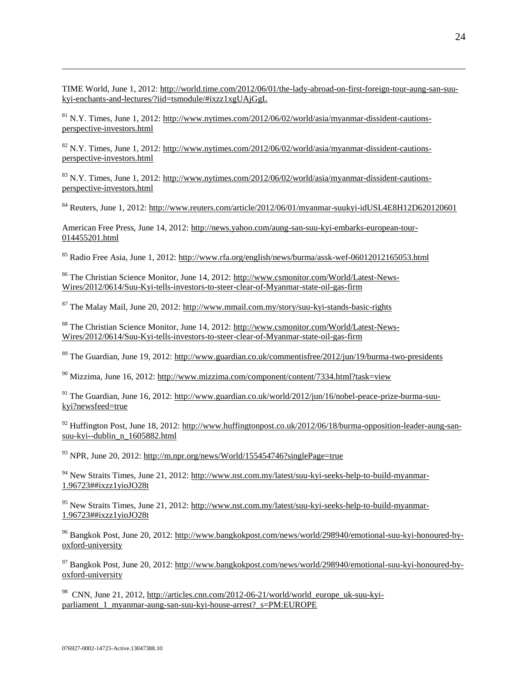TIME World, June 1, 2012[: http://world.time.com/2012/06/01/the-lady-abroad-on-first-foreign-tour-aung-san-suu](http://world.time.com/2012/06/01/the-lady-abroad-on-first-foreign-tour-aung-san-suu-kyi-enchants-and-lectures/?iid=tsmodule/#ixzz1xgUAjGgL)[kyi-enchants-and-lectures/?iid=tsmodule/#ixzz1xgUAjGgL](http://world.time.com/2012/06/01/the-lady-abroad-on-first-foreign-tour-aung-san-suu-kyi-enchants-and-lectures/?iid=tsmodule/#ixzz1xgUAjGgL)

 $81$  N.Y. Times, June 1, 2012: [http://www.nytimes.com/2012/06/02/world/asia/myanmar-dissident-cautions](http://www.nytimes.com/2012/06/02/world/asia/myanmar-dissident-cautions-perspective-investors.html)[perspective-investors.html](http://www.nytimes.com/2012/06/02/world/asia/myanmar-dissident-cautions-perspective-investors.html)

 $82$  N.Y. Times, June 1, 2012: [http://www.nytimes.com/2012/06/02/world/asia/myanmar-dissident-cautions](http://www.nytimes.com/2012/06/02/world/asia/myanmar-dissident-cautions-perspective-investors.html)[perspective-investors.html](http://www.nytimes.com/2012/06/02/world/asia/myanmar-dissident-cautions-perspective-investors.html)

 $83$  N.Y. Times, June 1, 2012: [http://www.nytimes.com/2012/06/02/world/asia/myanmar-dissident-cautions](http://www.nytimes.com/2012/06/02/world/asia/myanmar-dissident-cautions-perspective-investors.html)[perspective-investors.html](http://www.nytimes.com/2012/06/02/world/asia/myanmar-dissident-cautions-perspective-investors.html)

<sup>84</sup> Reuters, June 1, 2012[: http://www.reuters.com/article/2012/06/01/myanmar-suukyi-idUSL4E8H12D620120601](http://www.reuters.com/article/2012/06/01/myanmar-suukyi-idUSL4E8H12D620120601)

American Free Press, June 14, 2012: [http://news.yahoo.com/aung-san-suu-kyi-embarks-european-tour-](http://news.yahoo.com/aung-san-suu-kyi-embarks-european-tour-014455201.html)[014455201.html](http://news.yahoo.com/aung-san-suu-kyi-embarks-european-tour-014455201.html)

<sup>85</sup> Radio Free Asia, June 1, 2012:<http://www.rfa.org/english/news/burma/assk-wef-06012012165053.html>

<sup>86</sup> The Christian Science Monitor, June 14, 2012[: http://www.csmonitor.com/World/Latest-News-](http://www.csmonitor.com/World/Latest-News-Wires/2012/0614/Suu-Kyi-tells-investors-to-steer-clear-of-Myanmar-state-oil-gas-firm)[Wires/2012/0614/Suu-Kyi-tells-investors-to-steer-clear-of-Myanmar-state-oil-gas-firm](http://www.csmonitor.com/World/Latest-News-Wires/2012/0614/Suu-Kyi-tells-investors-to-steer-clear-of-Myanmar-state-oil-gas-firm) 

<sup>87</sup> The Malay Mail, June 20, 2012:<http://www.mmail.com.my/story/suu-kyi-stands-basic-rights>

<sup>88</sup> The Christian Science Monitor, June 14, 2012[: http://www.csmonitor.com/World/Latest-News-](http://www.csmonitor.com/World/Latest-News-Wires/2012/0614/Suu-Kyi-tells-investors-to-steer-clear-of-Myanmar-state-oil-gas-firm)[Wires/2012/0614/Suu-Kyi-tells-investors-to-steer-clear-of-Myanmar-state-oil-gas-firm](http://www.csmonitor.com/World/Latest-News-Wires/2012/0614/Suu-Kyi-tells-investors-to-steer-clear-of-Myanmar-state-oil-gas-firm) 

<sup>89</sup> The Guardian, June 19, 2012:<http://www.guardian.co.uk/commentisfree/2012/jun/19/burma-two-presidents>

 $90$  Mizzima, June 16, 2012: http://www.mizzima.com/component/content/7334.html?task=view

<sup>91</sup> The Guardian, June 16, 2012: [http://www.guardian.co.uk/world/2012/jun/16/nobel-peace-prize-burma-suu](http://www.guardian.co.uk/world/2012/jun/16/nobel-peace-prize-burma-suu-kyi?newsfeed=true)[kyi?newsfeed=true](http://www.guardian.co.uk/world/2012/jun/16/nobel-peace-prize-burma-suu-kyi?newsfeed=true)

 $92$  Huffington Post, June 18, 2012: [http://www.huffingtonpost.co.uk/2012/06/18/burma-opposition-leader-aung-san](http://www.huffingtonpost.co.uk/2012/06/18/burma-opposition-leader-aung-san-suu-kyi--dublin_n_1605882.html)[suu-kyi--dublin\\_n\\_1605882.html](http://www.huffingtonpost.co.uk/2012/06/18/burma-opposition-leader-aung-san-suu-kyi--dublin_n_1605882.html)

<sup>93</sup> NPR, June 20, 2012: <http://m.npr.org/news/World/155454746?singlePage=true>

<sup>94</sup> New Straits Times, June 21, 2012: [http://www.nst.com.my/latest/suu-kyi-seeks-help-to-build-myanmar-](http://www.nst.com.my/latest/suu-kyi-seeks-help-to-build-myanmar-1.96723)[1.96723##ixzz1yioJO28t](http://www.nst.com.my/latest/suu-kyi-seeks-help-to-build-myanmar-1.96723)

<sup>95</sup> New Straits Times, June 21, 2012: [http://www.nst.com.my/latest/suu-kyi-seeks-help-to-build-myanmar-](http://www.nst.com.my/latest/suu-kyi-seeks-help-to-build-myanmar-1.96723##ixzz1yioJO28t)[1.96723##ixzz1yioJO28t](http://www.nst.com.my/latest/suu-kyi-seeks-help-to-build-myanmar-1.96723##ixzz1yioJO28t)

<sup>96</sup> Bangkok Post, June 20, 2012: [http://www.bangkokpost.com/news/world/298940/emotional-suu-kyi-honoured-by](http://www.bangkokpost.com/news/world/298940/emotional-suu-kyi-honoured-by-oxford-university)[oxford-university](http://www.bangkokpost.com/news/world/298940/emotional-suu-kyi-honoured-by-oxford-university)

<sup>97</sup> Bangkok Post, June 20, 2012: [http://www.bangkokpost.com/news/world/298940/emotional-suu-kyi-honoured-by](http://www.bangkokpost.com/news/world/298940/emotional-suu-kyi-honoured-by-oxford-university)[oxford-university](http://www.bangkokpost.com/news/world/298940/emotional-suu-kyi-honoured-by-oxford-university)

 $^{98}$  [CNN, June 21, 2012, http://articles.cnn.com/2012-06-21/world/world\\_europe\\_uk-suu-kyi](http://articles.cnn.com/2012-06-21/world/world_europe_uk-suu-kyi-parliament_1_myanmar-aung-san-suu-kyi-house-arrest?_s=PM:EUROPE)parliament 1 myanmar-aung-san-suu-kyi-house-arrest? s=PM:EUROPE

 $\overline{a}$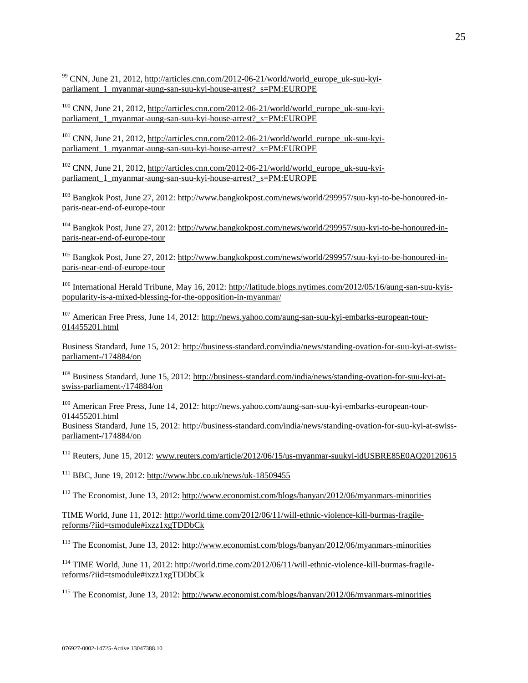<sup>99</sup> CNN, June 21, 2012, [http://articles.cnn.com/2012-06-21/world/world\\_europe\\_uk-suu-kyi](http://articles.cnn.com/2012-06-21/world/world_europe_uk-suu-kyi-parliament_1_myanmar-aung-san-suu-kyi-house-arrest?_s=PM:EUROPE)[parliament\\_1\\_myanmar-aung-san-suu-kyi-house-arrest?\\_s=PM:EUROPE](http://articles.cnn.com/2012-06-21/world/world_europe_uk-suu-kyi-parliament_1_myanmar-aung-san-suu-kyi-house-arrest?_s=PM:EUROPE)

 $\overline{a}$ 

 $100$  CNN, June 21, 2012, [http://articles.cnn.com/2012-06-21/world/world\\_europe\\_uk-suu-kyi](http://articles.cnn.com/2012-06-21/world/world_europe_uk-suu-kyi-parliament_1_myanmar-aung-san-suu-kyi-house-arrest?_s=PM:EUROPE)[parliament\\_1\\_myanmar-aung-san-suu-kyi-house-arrest?\\_s=PM:EUROPE](http://articles.cnn.com/2012-06-21/world/world_europe_uk-suu-kyi-parliament_1_myanmar-aung-san-suu-kyi-house-arrest?_s=PM:EUROPE)

<sup>101</sup> CNN, June 21, 2012, [http://articles.cnn.com/2012-06-21/world/world\\_europe\\_uk-suu-kyi](http://articles.cnn.com/2012-06-21/world/world_europe_uk-suu-kyi-parliament_1_myanmar-aung-san-suu-kyi-house-arrest?_s=PM:EUROPE)parliament 1 myanmar-aung-san-suu-kyi-house-arrest? s=PM:EUROPE

 $102$  CNN, June 21, 2012, [http://articles.cnn.com/2012-06-21/world/world\\_europe\\_uk-suu-kyi](http://articles.cnn.com/2012-06-21/world/world_europe_uk-suu-kyi-parliament_1_myanmar-aung-san-suu-kyi-house-arrest?_s=PM:EUROPE)[parliament\\_1\\_myanmar-aung-san-suu-kyi-house-arrest?\\_s=PM:EUROPE](http://articles.cnn.com/2012-06-21/world/world_europe_uk-suu-kyi-parliament_1_myanmar-aung-san-suu-kyi-house-arrest?_s=PM:EUROPE)

<sup>103</sup> Bangkok Post, June 27, 2012: [http://www.bangkokpost.com/news/world/299957/suu-kyi-to-be-honoured-in](http://www.bangkokpost.com/news/world/299957/suu-kyi-to-be-honoured-in-paris-near-end-of-europe-tour)[paris-near-end-of-europe-tour](http://www.bangkokpost.com/news/world/299957/suu-kyi-to-be-honoured-in-paris-near-end-of-europe-tour)

<sup>104</sup> Bangkok Post, June 27, 2012: [http://www.bangkokpost.com/news/world/299957/suu-kyi-to-be-honoured-in](http://www.bangkokpost.com/news/world/299957/suu-kyi-to-be-honoured-in-paris-near-end-of-europe-tour)[paris-near-end-of-europe-tour](http://www.bangkokpost.com/news/world/299957/suu-kyi-to-be-honoured-in-paris-near-end-of-europe-tour)

<sup>105</sup> Bangkok Post, June 27, 2012: [http://www.bangkokpost.com/news/world/299957/suu-kyi-to-be-honoured-in](http://www.bangkokpost.com/news/world/299957/suu-kyi-to-be-honoured-in-paris-near-end-of-europe-tour)[paris-near-end-of-europe-tour](http://www.bangkokpost.com/news/world/299957/suu-kyi-to-be-honoured-in-paris-near-end-of-europe-tour)

<sup>106</sup> International Herald Tribune, May 16, 2012: [http://latitude.blogs.nytimes.com/2012/05/16/aung-san-suu-kyis](http://latitude.blogs.nytimes.com/2012/05/16/aung-san-suu-kyis-popularity-is-a-mixed-blessing-for-the-opposition-in-myanmar/)[popularity-is-a-mixed-blessing-for-the-opposition-in-myanmar/](http://latitude.blogs.nytimes.com/2012/05/16/aung-san-suu-kyis-popularity-is-a-mixed-blessing-for-the-opposition-in-myanmar/)

<sup>107</sup> American Free Press, June 14, 2012[: http://news.yahoo.com/aung-san-suu-kyi-embarks-european-tour-](http://news.yahoo.com/aung-san-suu-kyi-embarks-european-tour-014455201.html)[014455201.html](http://news.yahoo.com/aung-san-suu-kyi-embarks-european-tour-014455201.html)

Business Standard, June 15, 2012[: http://business-standard.com/india/news/standing-ovation-for-suu-kyi-at-swiss](http://business-standard.com/india/news/standing-ovation-for-suu-kyi-at-swiss-parliament-/174884/on)[parliament-/174884/on](http://business-standard.com/india/news/standing-ovation-for-suu-kyi-at-swiss-parliament-/174884/on)

<sup>108</sup> Business Standard, June 15, 2012: [http://business-standard.com/india/news/standing-ovation-for-suu-kyi-at](http://business-standard.com/india/news/standing-ovation-for-suu-kyi-at-swiss-parliament-/174884/on)[swiss-parliament-/174884/on](http://business-standard.com/india/news/standing-ovation-for-suu-kyi-at-swiss-parliament-/174884/on)

<sup>109</sup> American Free Press, June 14, 2012[: http://news.yahoo.com/aung-san-suu-kyi-embarks-european-tour-](http://news.yahoo.com/aung-san-suu-kyi-embarks-european-tour-014455201.html)[014455201.html](http://news.yahoo.com/aung-san-suu-kyi-embarks-european-tour-014455201.html)

Business Standard, June 15, 2012[: http://business-standard.com/india/news/standing-ovation-for-suu-kyi-at-swiss](http://business-standard.com/india/news/standing-ovation-for-suu-kyi-at-swiss-parliament-/174884/on)[parliament-/174884/on](http://business-standard.com/india/news/standing-ovation-for-suu-kyi-at-swiss-parliament-/174884/on)

<sup>110</sup> Reuters, June 15, 2012: [www.reuters.com/article/2012/06/15/us-myanmar-suukyi-idUSBRE85E0AQ20120615](http://www.reuters.com/article/2012/06/15/us-myanmar-suukyi-idUSBRE85E0AQ20120615)

 $111$  BBC, June 19, 2012:<http://www.bbc.co.uk/news/uk-18509455>

<sup>112</sup> The Economist, June 13, 2012:<http://www.economist.com/blogs/banyan/2012/06/myanmars-minorities>

TIME World, June 11, 2012[: http://world.time.com/2012/06/11/will-ethnic-violence-kill-burmas-fragile](http://world.time.com/2012/06/11/will-ethnic-violence-kill-burmas-fragile-reforms/?iid=tsmodule#ixzz1xgTDDbCk)[reforms/?iid=tsmodule#ixzz1xgTDDbCk](http://world.time.com/2012/06/11/will-ethnic-violence-kill-burmas-fragile-reforms/?iid=tsmodule#ixzz1xgTDDbCk) 

<sup>113</sup> The Economist, June 13, 2012:<http://www.economist.com/blogs/banyan/2012/06/myanmars-minorities>

<sup>114</sup> TIME World, June 11, 2012: [http://world.time.com/2012/06/11/will-ethnic-violence-kill-burmas-fragile](http://world.time.com/2012/06/11/will-ethnic-violence-kill-burmas-fragile-reforms/?iid=tsmodule#ixzz1xgTDDbCk)[reforms/?iid=tsmodule#ixzz1xgTDDbCk](http://world.time.com/2012/06/11/will-ethnic-violence-kill-burmas-fragile-reforms/?iid=tsmodule#ixzz1xgTDDbCk)

<sup>115</sup> The Economist, June 13, 2012:<http://www.economist.com/blogs/banyan/2012/06/myanmars-minorities>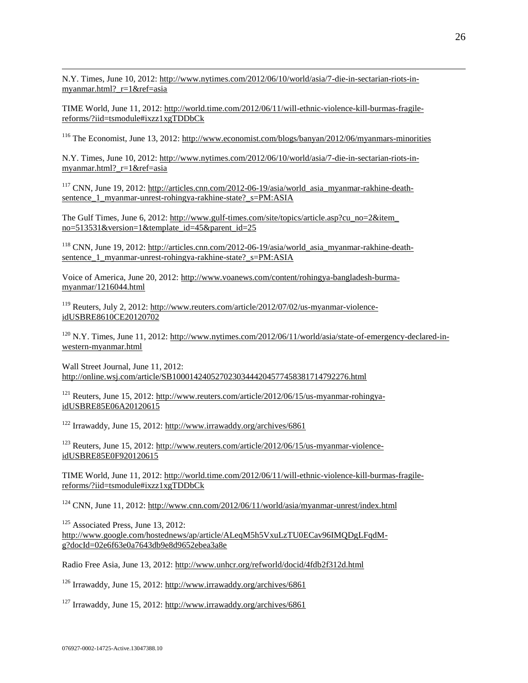$\overline{a}$ N.Y. Times, June 10, 2012: [http://www.nytimes.com/2012/06/10/world/asia/7-die-in-sectarian-riots-in](http://www.nytimes.com/2012/06/10/world/asia/7-die-in-sectarian-riots-in-myanmar.html?_r=1&ref=asia)[myanmar.html?\\_r=1&ref=asia](http://www.nytimes.com/2012/06/10/world/asia/7-die-in-sectarian-riots-in-myanmar.html?_r=1&ref=asia)

TIME World, June 11, 2012[: http://world.time.com/2012/06/11/will-ethnic-violence-kill-burmas-fragile](http://world.time.com/2012/06/11/will-ethnic-violence-kill-burmas-fragile-reforms/?iid=tsmodule#ixzz1xgTDDbCk)[reforms/?iid=tsmodule#ixzz1xgTDDbCk](http://world.time.com/2012/06/11/will-ethnic-violence-kill-burmas-fragile-reforms/?iid=tsmodule#ixzz1xgTDDbCk)

<sup>116</sup> The Economist, June 13, 2012:<http://www.economist.com/blogs/banyan/2012/06/myanmars-minorities>

N.Y. Times, June 10, 2012: [http://www.nytimes.com/2012/06/10/world/asia/7-die-in-sectarian-riots-in](http://www.nytimes.com/2012/06/10/world/asia/7-die-in-sectarian-riots-in-myanmar.html?_r=1&ref=asia)[myanmar.html?\\_r=1&ref=asia](http://www.nytimes.com/2012/06/10/world/asia/7-die-in-sectarian-riots-in-myanmar.html?_r=1&ref=asia)

<sup>117</sup> CNN, June 19, 2012[: http://articles.cnn.com/2012-06-19/asia/world\\_asia\\_myanmar-rakhine-death](http://articles.cnn.com/2012-06-19/asia/world_asia_myanmar-rakhine-death-sentence_1_myanmar-unrest-rohingya-rakhine-state?_s=PM:ASIA)[sentence\\_1\\_myanmar-unrest-rohingya-rakhine-state?\\_s=PM:ASIA](http://articles.cnn.com/2012-06-19/asia/world_asia_myanmar-rakhine-death-sentence_1_myanmar-unrest-rohingya-rakhine-state?_s=PM:ASIA)

The Gulf Times, June 6, 2012: [http://www.gulf-times.com/site/topics/article.asp?cu\\_no=2&item\\_](http://www.gulf-times.com/site/topics/article.asp?cu_no=2&item_%20no=513531&version=1&template_id=45&parent_id=25)  [no=513531&version=1&template\\_id=45&parent\\_id=25](http://www.gulf-times.com/site/topics/article.asp?cu_no=2&item_%20no=513531&version=1&template_id=45&parent_id=25)

<sup>118</sup> CNN, June 19, 2012[: http://articles.cnn.com/2012-06-19/asia/world\\_asia\\_myanmar-rakhine-death](http://articles.cnn.com/2012-06-19/asia/world_asia_myanmar-rakhine-death-sentence_1_myanmar-unrest-rohingya-rakhine-state?_s=PM:ASIA)[sentence\\_1\\_myanmar-unrest-rohingya-rakhine-state?\\_s=PM:ASIA](http://articles.cnn.com/2012-06-19/asia/world_asia_myanmar-rakhine-death-sentence_1_myanmar-unrest-rohingya-rakhine-state?_s=PM:ASIA)

Voice of America, June 20, 2012[: http://www.voanews.com/content/rohingya-bangladesh-burma](http://www.voanews.com/content/rohingya-bangladesh-burma-myanmar/1216044.html)[myanmar/1216044.html](http://www.voanews.com/content/rohingya-bangladesh-burma-myanmar/1216044.html)

<sup>119</sup> Reuters, July 2, 2012: [http://www.reuters.com/article/2012/07/02/us-myanmar-violence](http://www.reuters.com/article/2012/07/02/us-myanmar-violence-idUSBRE8610CE20120702)[idUSBRE8610CE20120702](http://www.reuters.com/article/2012/07/02/us-myanmar-violence-idUSBRE8610CE20120702)

 $120$  N.Y. Times, June 11, 2012: [http://www.nytimes.com/2012/06/11/world/asia/state-of-emergency-declared-in](http://www.nytimes.com/2012/06/11/world/asia/state-of-emergency-declared-in-western-myanmar.html)[western-myanmar.html](http://www.nytimes.com/2012/06/11/world/asia/state-of-emergency-declared-in-western-myanmar.html)

Wall Street Journal, June 11, 2012: <http://online.wsj.com/article/SB10001424052702303444204577458381714792276.html>

<sup>121</sup> Reuters, June 15, 2012: [http://www.reuters.com/article/2012/06/15/us-myanmar-rohingya](http://www.reuters.com/article/2012/06/15/us-myanmar-rohingya-idUSBRE85E06A20120615)[idUSBRE85E06A20120615](http://www.reuters.com/article/2012/06/15/us-myanmar-rohingya-idUSBRE85E06A20120615) 

<sup>122</sup> Irrawaddy, June 15, 2012:<http://www.irrawaddy.org/archives/6861>

<sup>123</sup> Reuters, June 15, 2012: [http://www.reuters.com/article/2012/06/15/us-myanmar-violence](http://www.reuters.com/article/2012/06/15/us-myanmar-violence-idUSBRE85E0F920120615)[idUSBRE85E0F920120615](http://www.reuters.com/article/2012/06/15/us-myanmar-violence-idUSBRE85E0F920120615)

TIME World, June 11, 2012[: http://world.time.com/2012/06/11/will-ethnic-violence-kill-burmas-fragile](http://world.time.com/2012/06/11/will-ethnic-violence-kill-burmas-fragile-reforms/?iid=tsmodule#ixzz1xgTDDbCk)[reforms/?iid=tsmodule#ixzz1xgTDDbCk](http://world.time.com/2012/06/11/will-ethnic-violence-kill-burmas-fragile-reforms/?iid=tsmodule#ixzz1xgTDDbCk)

 $124$  CNN, June 11, 2012[: http://www.cnn.com/2012/06/11/world/asia/myanmar-unrest/index.html](http://www.cnn.com/2012/06/11/world/asia/myanmar-unrest/index.html)

<sup>125</sup> Associated Press, June 13, 2012: [http://www.google.com/hostednews/ap/article/ALeqM5h5VxuLzTU0ECav96IMQDgLFqdM](http://www.google.com/hostednews/ap/article/ALeqM5h5VxuLzTU0ECav96IMQDgLFqdM-g?docId=02e6f63e0a7643db9e8d9652ebea3a8e)[g?docId=02e6f63e0a7643db9e8d9652ebea3a8e](http://www.google.com/hostednews/ap/article/ALeqM5h5VxuLzTU0ECav96IMQDgLFqdM-g?docId=02e6f63e0a7643db9e8d9652ebea3a8e) 

Radio Free Asia, June 13, 2012:<http://www.unhcr.org/refworld/docid/4fdb2f312d.html>

<sup>126</sup> Irrawaddy, June 15, 2012:<http://www.irrawaddy.org/archives/6861>

<sup>127</sup> Irrawaddy, June 15, 2012:<http://www.irrawaddy.org/archives/6861>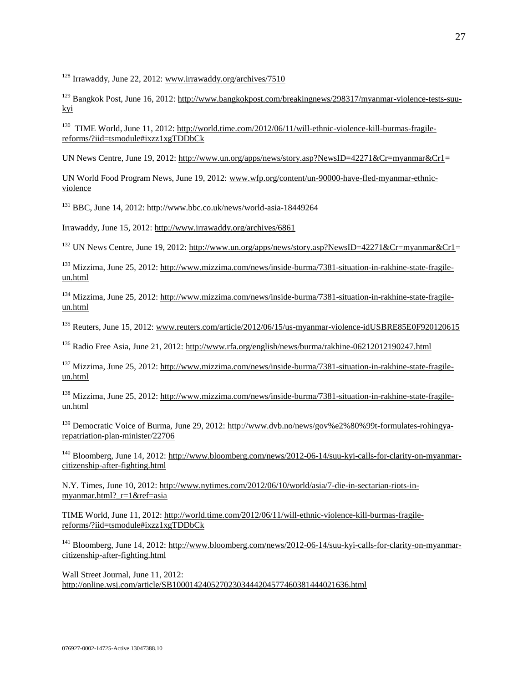<sup>128</sup> Irrawaddy, June 22, 2012: [www.irrawaddy.org/archives/7510](http://www.irrawaddy.org/archives/7510)

 $\overline{a}$ 

<sup>129</sup> Bangkok Post, June 16, 2012: [http://www.bangkokpost.com/breakingnews/298317/myanmar-violence-tests-suu](http://www.bangkokpost.com/breakingnews/298317/myanmar-violence-tests-suu-kyi)[kyi](http://www.bangkokpost.com/breakingnews/298317/myanmar-violence-tests-suu-kyi)

<sup>130</sup> [TIME World, June 11, 2012: http://world.time.com/2012/06/11/will-ethnic-violence-kill-burmas-fragile](http://world.time.com/2012/06/11/will-ethnic-violence-kill-burmas-fragile-reforms/?iid=tsmodule#ixzz1xgTDDbCk)[reforms/?iid=tsmodule#ixzz1xgTDDbCk](http://world.time.com/2012/06/11/will-ethnic-violence-kill-burmas-fragile-reforms/?iid=tsmodule#ixzz1xgTDDbCk)

UN News Centre, June 19, 2012: [http://www.un.org/apps/news/story.asp?NewsID=42271&Cr=myanmar&Cr1=](http://www.un.org/apps/news/story.asp?NewsID=42271&Cr=myanmar&Cr1)

UN World Food Program News, June 19, 2012: [www.wfp.org/content/un-90000-have-fled-myanmar-ethnic](http://www.wfp.org/content/un-90000-have-fled-myanmar-ethnic-violence)[violence](http://www.wfp.org/content/un-90000-have-fled-myanmar-ethnic-violence) 

 $131$  BBC, June 14, 2012:<http://www.bbc.co.uk/news/world-asia-18449264>

Irrawaddy, June 15, 2012:<http://www.irrawaddy.org/archives/6861>

<sup>132</sup> UN News Centre, June 19, 2012: [http://www.un.org/apps/news/story.asp?NewsID=42271&Cr=myanmar&Cr1=](http://www.un.org/apps/news/story.asp?NewsID=42271&Cr=myanmar&Cr1)

<sup>133</sup> Mizzima, June 25, 2012: [http://www.mizzima.com/news/inside-burma/7381-situation-in-rakhine-state-fragile](http://www.mizzima.com/news/inside-burma/7381-situation-in-rakhine-state-fragile-un.html)[un.html](http://www.mizzima.com/news/inside-burma/7381-situation-in-rakhine-state-fragile-un.html)

<sup>134</sup> Mizzima, June 25, 2012: [http://www.mizzima.com/news/inside-burma/7381-situation-in-rakhine-state-fragile](http://www.mizzima.com/news/inside-burma/7381-situation-in-rakhine-state-fragile-un.html)[un.html](http://www.mizzima.com/news/inside-burma/7381-situation-in-rakhine-state-fragile-un.html)

<sup>135</sup> Reuters, June 15, 2012: [www.reuters.com/article/2012/06/15/us-myanmar-violence-idUSBRE85E0F920120615](http://www.reuters.com/article/2012/06/15/us-myanmar-violence-idUSBRE85E0F920120615)

<sup>136</sup> Radio Free Asia, June 21, 2012:<http://www.rfa.org/english/news/burma/rakhine-06212012190247.html>

<sup>137</sup> Mizzima, June 25, 2012: [http://www.mizzima.com/news/inside-burma/7381-situation-in-rakhine-state-fragile](http://www.mizzima.com/news/inside-burma/7381-situation-in-rakhine-state-fragile-un.html)[un.html](http://www.mizzima.com/news/inside-burma/7381-situation-in-rakhine-state-fragile-un.html)

<sup>138</sup> Mizzima, June 25, 2012: [http://www.mizzima.com/news/inside-burma/7381-situation-in-rakhine-state-fragile](http://www.mizzima.com/news/inside-burma/7381-situation-in-rakhine-state-fragile-un.html)[un.html](http://www.mizzima.com/news/inside-burma/7381-situation-in-rakhine-state-fragile-un.html)

<sup>139</sup> Democratic Voice of Burma, June 29, 2012: [http://www.dvb.no/news/gov%e2%80%99t-formulates-rohingya](http://www.dvb.no/news/gov%e2%80%99t-formulates-rohingya-repatriation-plan-minister/22706)[repatriation-plan-minister/22706](http://www.dvb.no/news/gov%e2%80%99t-formulates-rohingya-repatriation-plan-minister/22706)

<sup>140</sup> Bloomberg, June 14, 2012: [http://www.bloomberg.com/news/2012-06-14/suu-kyi-calls-for-clarity-on-myanmar](http://www.bloomberg.com/news/2012-06-14/suu-kyi-calls-for-clarity-on-myanmar-citizenship-after-fighting.html)[citizenship-after-fighting.html](http://www.bloomberg.com/news/2012-06-14/suu-kyi-calls-for-clarity-on-myanmar-citizenship-after-fighting.html)

N.Y. Times, June 10, 2012: [http://www.nytimes.com/2012/06/10/world/asia/7-die-in-sectarian-riots-in](http://www.nytimes.com/2012/06/10/world/asia/7-die-in-sectarian-riots-in-myanmar.html?_r=1&ref=asia)[myanmar.html?\\_r=1&ref=asia](http://www.nytimes.com/2012/06/10/world/asia/7-die-in-sectarian-riots-in-myanmar.html?_r=1&ref=asia)

TIME World, June 11, 2012[: http://world.time.com/2012/06/11/will-ethnic-violence-kill-burmas-fragile](http://world.time.com/2012/06/11/will-ethnic-violence-kill-burmas-fragile-reforms/?iid=tsmodule#ixzz1xgTDDbCk)[reforms/?iid=tsmodule#ixzz1xgTDDbCk](http://world.time.com/2012/06/11/will-ethnic-violence-kill-burmas-fragile-reforms/?iid=tsmodule#ixzz1xgTDDbCk) 

<sup>141</sup> Bloomberg, June 14, 2012: [http://www.bloomberg.com/news/2012-06-14/suu-kyi-calls-for-clarity-on-myanmar](http://www.bloomberg.com/news/2012-06-14/suu-kyi-calls-for-clarity-on-myanmar-citizenship-after-fighting.html)[citizenship-after-fighting.html](http://www.bloomberg.com/news/2012-06-14/suu-kyi-calls-for-clarity-on-myanmar-citizenship-after-fighting.html)

Wall Street Journal, June 11, 2012: <http://online.wsj.com/article/SB10001424052702303444204577460381444021636.html>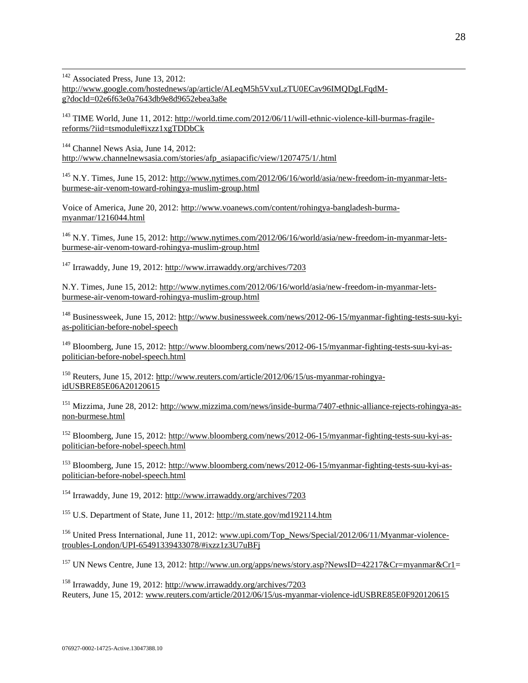$142$  Associated Press, June 13, 2012: [http://www.google.com/hostednews/ap/article/ALeqM5h5VxuLzTU0ECav96IMQDgLFqdM](http://www.google.com/hostednews/ap/article/ALeqM5h5VxuLzTU0ECav96IMQDgLFqdM-g?docId=02e6f63e0a7643db9e8d9652ebea3a8e)[g?docId=02e6f63e0a7643db9e8d9652ebea3a8e](http://www.google.com/hostednews/ap/article/ALeqM5h5VxuLzTU0ECav96IMQDgLFqdM-g?docId=02e6f63e0a7643db9e8d9652ebea3a8e)

<sup>143</sup> TIME World, June 11, 2012: [http://world.time.com/2012/06/11/will-ethnic-violence-kill-burmas-fragile](http://world.time.com/2012/06/11/will-ethnic-violence-kill-burmas-fragile-reforms/?iid=tsmodule#ixzz1xgTDDbCk)[reforms/?iid=tsmodule#ixzz1xgTDDbCk](http://world.time.com/2012/06/11/will-ethnic-violence-kill-burmas-fragile-reforms/?iid=tsmodule#ixzz1xgTDDbCk)

<sup>144</sup> Channel News Asia, June 14, 2012: [http://www.channelnewsasia.com/stories/afp\\_asiapacific/view/1207475/1/.html](http://www.channelnewsasia.com/stories/afp_asiapacific/view/1207475/1/.html)

 $\overline{a}$ 

<sup>145</sup> N.Y. Times, June 15, 2012: [http://www.nytimes.com/2012/06/16/world/asia/new-freedom-in-myanmar-lets](http://www.nytimes.com/2012/06/16/world/asia/new-freedom-in-myanmar-lets-burmese-air-venom-toward-rohingya-muslim-group.html)[burmese-air-venom-toward-rohingya-muslim-group.html](http://www.nytimes.com/2012/06/16/world/asia/new-freedom-in-myanmar-lets-burmese-air-venom-toward-rohingya-muslim-group.html)

Voice of America, June 20, 2012[: http://www.voanews.com/content/rohingya-bangladesh-burma](http://www.voanews.com/content/rohingya-bangladesh-burma-myanmar/1216044.html)[myanmar/1216044.html](http://www.voanews.com/content/rohingya-bangladesh-burma-myanmar/1216044.html)

<sup>146</sup> N.Y. Times, June 15, 2012: [http://www.nytimes.com/2012/06/16/world/asia/new-freedom-in-myanmar-lets](http://www.nytimes.com/2012/06/16/world/asia/new-freedom-in-myanmar-lets-burmese-air-venom-toward-rohingya-muslim-group.html)[burmese-air-venom-toward-rohingya-muslim-group.html](http://www.nytimes.com/2012/06/16/world/asia/new-freedom-in-myanmar-lets-burmese-air-venom-toward-rohingya-muslim-group.html)

<sup>147</sup> Irrawaddy, June 19, 2012:<http://www.irrawaddy.org/archives/7203>

N.Y. Times, June 15, 2012: [http://www.nytimes.com/2012/06/16/world/asia/new-freedom-in-myanmar-lets](http://www.nytimes.com/2012/06/16/world/asia/new-freedom-in-myanmar-lets-burmese-air-venom-toward-rohingya-muslim-group.html)[burmese-air-venom-toward-rohingya-muslim-group.html](http://www.nytimes.com/2012/06/16/world/asia/new-freedom-in-myanmar-lets-burmese-air-venom-toward-rohingya-muslim-group.html)

<sup>148</sup> Businessweek, June 15, 2012: [http://www.businessweek.com/news/2012-06-15/myanmar-fighting-tests-suu-kyi](http://www.businessweek.com/news/2012-06-15/myanmar-fighting-tests-suu-kyi-as-politician-before-nobel-speech)[as-politician-before-nobel-speech](http://www.businessweek.com/news/2012-06-15/myanmar-fighting-tests-suu-kyi-as-politician-before-nobel-speech)

<sup>149</sup> Bloomberg, June 15, 2012: [http://www.bloomberg.com/news/2012-06-15/myanmar-fighting-tests-suu-kyi-as](http://www.bloomberg.com/news/2012-06-15/myanmar-fighting-tests-suu-kyi-as-politician-before-nobel-speech.html)[politician-before-nobel-speech.html](http://www.bloomberg.com/news/2012-06-15/myanmar-fighting-tests-suu-kyi-as-politician-before-nobel-speech.html)

<sup>150</sup> Reuters, June 15, 2012: [http://www.reuters.com/article/2012/06/15/us-myanmar-rohingya](http://www.reuters.com/article/2012/06/15/us-myanmar-rohingya-idUSBRE85E06A20120615)[idUSBRE85E06A20120615](http://www.reuters.com/article/2012/06/15/us-myanmar-rohingya-idUSBRE85E06A20120615) 

<sup>151</sup> Mizzima, June 28, 2012: [http://www.mizzima.com/news/inside-burma/7407-ethnic-alliance-rejects-rohingya-as](http://www.mizzima.com/news/inside-burma/7407-ethnic-alliance-rejects-rohingya-as-non-burmese.html)[non-burmese.html](http://www.mizzima.com/news/inside-burma/7407-ethnic-alliance-rejects-rohingya-as-non-burmese.html)

<sup>152</sup> Bloomberg, June 15, 2012: [http://www.bloomberg.com/news/2012-06-15/myanmar-fighting-tests-suu-kyi-as](http://www.bloomberg.com/news/2012-06-15/myanmar-fighting-tests-suu-kyi-as-politician-before-nobel-speech.html)[politician-before-nobel-speech.html](http://www.bloomberg.com/news/2012-06-15/myanmar-fighting-tests-suu-kyi-as-politician-before-nobel-speech.html)

<sup>153</sup> Bloomberg, June 15, 2012: [http://www.bloomberg.com/news/2012-06-15/myanmar-fighting-tests-suu-kyi-as](http://www.bloomberg.com/news/2012-06-15/myanmar-fighting-tests-suu-kyi-as-politician-before-nobel-speech.html)[politician-before-nobel-speech.html](http://www.bloomberg.com/news/2012-06-15/myanmar-fighting-tests-suu-kyi-as-politician-before-nobel-speech.html)

<sup>154</sup> Irrawaddy, June 19, 2012:<http://www.irrawaddy.org/archives/7203>

<sup>155</sup> U.S. Department of State, June 11, 2012:<http://m.state.gov/md192114.htm>

<sup>156</sup> United Press International, June 11, 2012: [www.upi.com/Top\\_News/Special/2012/06/11/Myanmar-violence](http://www.upi.com/Top_News/Special/2012/06/11/Myanmar-violence-troubles-London/UPI-65491339433078/#ixzz1z3U7uBFj)[troubles-London/UPI-65491339433078/#ixzz1z3U7uBFj](http://www.upi.com/Top_News/Special/2012/06/11/Myanmar-violence-troubles-London/UPI-65491339433078/#ixzz1z3U7uBFj)

<sup>157</sup> UN News Centre, June 13, 2012: [http://www.un.org/apps/news/story.asp?NewsID=42217&Cr=myanmar&Cr1=](http://www.un.org/apps/news/story.asp?NewsID=42217&Cr=myanmar&Cr1)

<sup>158</sup> Irrawaddy, June 19, 2012:<http://www.irrawaddy.org/archives/7203> Reuters, June 15, 2012[: www.reuters.com/article/2012/06/15/us-myanmar-violence-idUSBRE85E0F920120615](http://www.reuters.com/article/2012/06/15/us-myanmar-violence-idUSBRE85E0F920120615)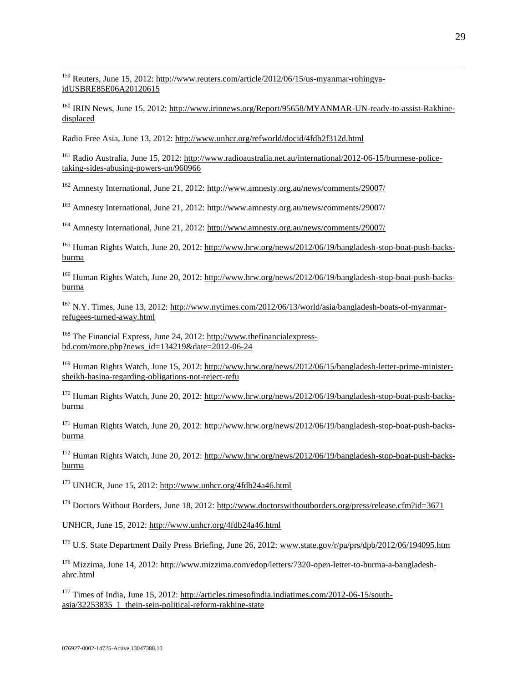<sup>159</sup> Reuters, June 15, 2012: [http://www.reuters.com/article/2012/06/15/us-myanmar-rohingya](http://www.reuters.com/article/2012/06/15/us-myanmar-rohingya-idUSBRE85E06A20120615)[idUSBRE85E06A20120615](http://www.reuters.com/article/2012/06/15/us-myanmar-rohingya-idUSBRE85E06A20120615) 

 $\overline{a}$ 

<sup>160</sup> IRIN News, June 15, 2012: [http://www.irinnews.org/Report/95658/MYANMAR-UN-ready-to-assist-Rakhine](http://www.irinnews.org/Report/95658/MYANMAR-UN-ready-to-assist-Rakhine-displaced)[displaced](http://www.irinnews.org/Report/95658/MYANMAR-UN-ready-to-assist-Rakhine-displaced)

Radio Free Asia, June 13, 2012:<http://www.unhcr.org/refworld/docid/4fdb2f312d.html>

<sup>161</sup> Radio Australia, June 15, 2012: [http://www.radioaustralia.net.au/international/2012-06-15/burmese-police](http://www.radioaustralia.net.au/international/2012-06-15/burmese-police-taking-sides-abusing-powers-un/960966)[taking-sides-abusing-powers-un/960966](http://www.radioaustralia.net.au/international/2012-06-15/burmese-police-taking-sides-abusing-powers-un/960966)

<sup>162</sup> Amnesty International, June 21, 2012:<http://www.amnesty.org.au/news/comments/29007/>

<sup>163</sup> Amnesty International, June 21, 2012:<http://www.amnesty.org.au/news/comments/29007/>

<sup>164</sup> Amnesty International, June 21, 2012:<http://www.amnesty.org.au/news/comments/29007/>

<sup>165</sup> Human Rights Watch, June 20, 2012: [http://www.hrw.org/news/2012/06/19/bangladesh-stop-boat-push-backs](http://www.hrw.org/news/2012/06/19/bangladesh-stop-boat-push-backs-burma)[burma](http://www.hrw.org/news/2012/06/19/bangladesh-stop-boat-push-backs-burma)

<sup>166</sup> Human Rights Watch, June 20, 2012: [http://www.hrw.org/news/2012/06/19/bangladesh-stop-boat-push-backs](http://www.hrw.org/news/2012/06/19/bangladesh-stop-boat-push-backs-burma)[burma](http://www.hrw.org/news/2012/06/19/bangladesh-stop-boat-push-backs-burma)

<sup>167</sup> N.Y. Times, June 13, 2012: [http://www.nytimes.com/2012/06/13/world/asia/bangladesh-boats-of-myanmar](http://www.nytimes.com/2012/06/13/world/asia/bangladesh-boats-of-myanmar-refugees-turned-away.html)[refugees-turned-away.html](http://www.nytimes.com/2012/06/13/world/asia/bangladesh-boats-of-myanmar-refugees-turned-away.html)

<sup>168</sup> The Financial Express, June 24, 2012: [http://www.thefinancialexpress](http://www.thefinancialexpress-bd.com/more.php?news_id=134219&date=2012-06-24)[bd.com/more.php?news\\_id=134219&date=2012-06-24](http://www.thefinancialexpress-bd.com/more.php?news_id=134219&date=2012-06-24)

<sup>169</sup> Human Rights Watch, June 15, 2012: [http://www.hrw.org/news/2012/06/15/bangladesh-letter-prime-minister](http://www.hrw.org/news/2012/06/15/bangladesh-letter-prime-minister-sheikh-hasina-regarding-obligations-not-reject-refu)[sheikh-hasina-regarding-obligations-not-reject-refu](http://www.hrw.org/news/2012/06/15/bangladesh-letter-prime-minister-sheikh-hasina-regarding-obligations-not-reject-refu)

<sup>170</sup> Human Rights Watch, June 20, 2012: [http://www.hrw.org/news/2012/06/19/bangladesh-stop-boat-push-backs](http://www.hrw.org/news/2012/06/19/bangladesh-stop-boat-push-backs-burma)[burma](http://www.hrw.org/news/2012/06/19/bangladesh-stop-boat-push-backs-burma)

<sup>171</sup> Human Rights Watch, June 20, 2012: [http://www.hrw.org/news/2012/06/19/bangladesh-stop-boat-push-backs](http://www.hrw.org/news/2012/06/19/bangladesh-stop-boat-push-backs-burma)[burma](http://www.hrw.org/news/2012/06/19/bangladesh-stop-boat-push-backs-burma) 

<sup>172</sup> Human Rights Watch, June 20, 2012: [http://www.hrw.org/news/2012/06/19/bangladesh-stop-boat-push-backs](http://www.hrw.org/news/2012/06/19/bangladesh-stop-boat-push-backs-burma)[burma](http://www.hrw.org/news/2012/06/19/bangladesh-stop-boat-push-backs-burma)

<sup>173</sup> UNHCR, June 15, 2012:<http://www.unhcr.org/4fdb24a46.html>

<sup>174</sup> Doctors Without Borders, June 18, 2012:<http://www.doctorswithoutborders.org/press/release.cfm?id=3671>

UNHCR, June 15, 2012:<http://www.unhcr.org/4fdb24a46.html>

<sup>175</sup> U.S. State Department Daily Press Briefing, June 26, 2012: [www.state.gov/r/pa/prs/dpb/2012/06/194095.htm](http://www.state.gov/r/pa/prs/dpb/2012/06/194095.htm)

<sup>176</sup> Mizzima, June 14, 2012: [http://www.mizzima.com/edop/letters/7320-open-letter-to-burma-a-bangladesh](http://www.mizzima.com/edop/letters/7320-open-letter-to-burma-a-bangladesh-ahrc.html)[ahrc.html](http://www.mizzima.com/edop/letters/7320-open-letter-to-burma-a-bangladesh-ahrc.html) 

<sup>177</sup> Times of India, June 15, 2012: [http://articles.timesofindia.indiatimes.com/2012-06-15/south](http://articles.timesofindia.indiatimes.com/2012-06-15/south-asia/32253835_1_thein-sein-political-reform-rakhine-state)[asia/32253835\\_1\\_thein-sein-political-reform-rakhine-state](http://articles.timesofindia.indiatimes.com/2012-06-15/south-asia/32253835_1_thein-sein-political-reform-rakhine-state)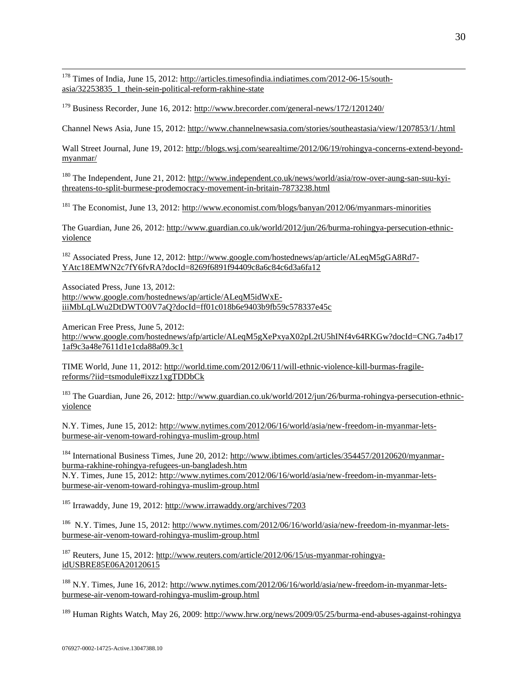<sup>178</sup> Times of India, June 15, 2012: [http://articles.timesofindia.indiatimes.com/2012-06-15/south](http://articles.timesofindia.indiatimes.com/2012-06-15/south-asia/32253835_1_thein-sein-political-reform-rakhine-state)[asia/32253835\\_1\\_thein-sein-political-reform-rakhine-state](http://articles.timesofindia.indiatimes.com/2012-06-15/south-asia/32253835_1_thein-sein-political-reform-rakhine-state)

<sup>179</sup> Business Recorder, June 16, 2012:<http://www.brecorder.com/general-news/172/1201240/>

Channel News Asia, June 15, 2012[: http://www.channelnewsasia.com/stories/southeastasia/view/1207853/1/.html](http://www.channelnewsasia.com/stories/southeastasia/view/1207853/1/.html)

Wall Street Journal, June 19, 2012: [http://blogs.wsj.com/searealtime/2012/06/19/rohingya-concerns-extend-beyond](http://blogs.wsj.com/searealtime/2012/06/19/rohingya-concerns-extend-beyond-myanmar/)[myanmar/](http://blogs.wsj.com/searealtime/2012/06/19/rohingya-concerns-extend-beyond-myanmar/)

<sup>180</sup> The Independent, June 21, 2012: [http://www.independent.co.uk/news/world/asia/row-over-aung-san-suu-kyi](http://www.independent.co.uk/news/world/asia/row-over-aung-san-suu-kyi-threatens-to-split-burmese-prodemocracy-movement-in-britain-7873238.html)[threatens-to-split-burmese-prodemocracy-movement-in-britain-7873238.html](http://www.independent.co.uk/news/world/asia/row-over-aung-san-suu-kyi-threatens-to-split-burmese-prodemocracy-movement-in-britain-7873238.html)

<sup>181</sup> The Economist, June 13, 2012:<http://www.economist.com/blogs/banyan/2012/06/myanmars-minorities>

The Guardian, June 26, 2012: [http://www.guardian.co.uk/world/2012/jun/26/burma-rohingya-persecution-ethnic](http://www.guardian.co.uk/world/2012/jun/26/burma-rohingya-persecution-ethnic-violence)[violence](http://www.guardian.co.uk/world/2012/jun/26/burma-rohingya-persecution-ethnic-violence)

<sup>182</sup> Associated Press, June 12, 2012: [http://www.google.com/hostednews/ap/article/ALeqM5gGA8Rd7-](http://www.google.com/hostednews/ap/article/ALeqM5gGA8Rd7-YAtc18EMWN2c7fY6fvRA?docId=8269f6891f94409c8a6c84c6d3a6fa12) [YAtc18EMWN2c7fY6fvRA?docId=8269f6891f94409c8a6c84c6d3a6fa12](http://www.google.com/hostednews/ap/article/ALeqM5gGA8Rd7-YAtc18EMWN2c7fY6fvRA?docId=8269f6891f94409c8a6c84c6d3a6fa12)

Associated Press, June 13, 2012: [http://www.google.com/hostednews/ap/article/ALeqM5idWxE](http://www.google.com/hostednews/ap/article/ALeqM5idWxE-iiiMbLqLWu2DtDWTO0V7aQ?docId=ff01c018b6e9403b9fb59c578337e45c)[iiiMbLqLWu2DtDWTO0V7aQ?docId=ff01c018b6e9403b9fb59c578337e45c](http://www.google.com/hostednews/ap/article/ALeqM5idWxE-iiiMbLqLWu2DtDWTO0V7aQ?docId=ff01c018b6e9403b9fb59c578337e45c)

American Free Press, June 5, 2012: [http://www.google.com/hostednews/afp/article/ALeqM5gXePxyaX02pL2tU5hINf4v64RKGw?docId=CNG.7a4b17](http://www.google.com/hostednews/afp/article/ALeqM5gXePxyaX02pL2tU5hINf4v64RKGw?docId=CNG.7a4b171af9c3a48e7611d1e1cda88a09.3c1) [1af9c3a48e7611d1e1cda88a09.3c1](http://www.google.com/hostednews/afp/article/ALeqM5gXePxyaX02pL2tU5hINf4v64RKGw?docId=CNG.7a4b171af9c3a48e7611d1e1cda88a09.3c1)

TIME World, June 11, 2012: [http://world.time.com/2012/06/11/will-ethnic-violence-kill-burmas-fragile](http://world.time.com/2012/06/11/will-ethnic-violence-kill-burmas-fragile-reforms/?iid=tsmodule#ixzz1xgTDDbCk)[reforms/?iid=tsmodule#ixzz1xgTDDbCk](http://world.time.com/2012/06/11/will-ethnic-violence-kill-burmas-fragile-reforms/?iid=tsmodule#ixzz1xgTDDbCk) 

<sup>183</sup> The Guardian, June 26, 2012[: http://www.guardian.co.uk/world/2012/jun/26/burma-rohingya-persecution-ethnic](http://www.guardian.co.uk/world/2012/jun/26/burma-rohingya-persecution-ethnic-violence)[violence](http://www.guardian.co.uk/world/2012/jun/26/burma-rohingya-persecution-ethnic-violence)

N.Y. Times, June 15, 2012: [http://www.nytimes.com/2012/06/16/world/asia/new-freedom-in-myanmar-lets](http://www.nytimes.com/2012/06/16/world/asia/new-freedom-in-myanmar-lets-burmese-air-venom-toward-rohingya-muslim-group.html)[burmese-air-venom-toward-rohingya-muslim-group.html](http://www.nytimes.com/2012/06/16/world/asia/new-freedom-in-myanmar-lets-burmese-air-venom-toward-rohingya-muslim-group.html)

<sup>184</sup> International Business Times, June 20, 2012: [http://www.ibtimes.com/articles/354457/20120620/myanmar](http://www.ibtimes.com/articles/354457/20120620/myanmar-burma-rakhine-rohingya-refugees-un-bangladesh.htm)[burma-rakhine-rohingya-refugees-un-bangladesh.htm](http://www.ibtimes.com/articles/354457/20120620/myanmar-burma-rakhine-rohingya-refugees-un-bangladesh.htm)

N.Y. Times, June 15, 2012: [http://www.nytimes.com/2012/06/16/world/asia/new-freedom-in-myanmar-lets](http://www.nytimes.com/2012/06/16/world/asia/new-freedom-in-myanmar-lets-burmese-air-venom-toward-rohingya-muslim-group.html)[burmese-air-venom-toward-rohingya-muslim-group.html](http://www.nytimes.com/2012/06/16/world/asia/new-freedom-in-myanmar-lets-burmese-air-venom-toward-rohingya-muslim-group.html)

<sup>185</sup> Irrawaddy, June 19, 2012:<http://www.irrawaddy.org/archives/7203>

<sup>186</sup> N.Y. Times, June 15, 2012: [http://www.nytimes.com/2012/06/16/world/asia/new-freedom-in-myanmar-lets](http://www.nytimes.com/2012/06/16/world/asia/new-freedom-in-myanmar-lets-burmese-air-venom-toward-rohingya-muslim-group.html)[burmese-air-venom-toward-rohingya-muslim-group.html](http://www.nytimes.com/2012/06/16/world/asia/new-freedom-in-myanmar-lets-burmese-air-venom-toward-rohingya-muslim-group.html)

<sup>187</sup> Reuters, June 15, 2012: [http://www.reuters.com/article/2012/06/15/us-myanmar-rohingya](http://www.reuters.com/article/2012/06/15/us-myanmar-rohingya-idUSBRE85E06A20120615)[idUSBRE85E06A20120615](http://www.reuters.com/article/2012/06/15/us-myanmar-rohingya-idUSBRE85E06A20120615)

<sup>188</sup> N.Y. Times, June 16, 2012: [http://www.nytimes.com/2012/06/16/world/asia/new-freedom-in-myanmar-lets](http://www.nytimes.com/2012/06/16/world/asia/new-freedom-in-myanmar-lets-burmese-air-venom-toward-rohingya-muslim-group.html)[burmese-air-venom-toward-rohingya-muslim-group.html](http://www.nytimes.com/2012/06/16/world/asia/new-freedom-in-myanmar-lets-burmese-air-venom-toward-rohingya-muslim-group.html)

<sup>189</sup> Human Rights Watch, May 26, 2009: http://www.hrw.org/news/2009/05/25/burma-end-abuses-against-rohingya

 $\overline{a}$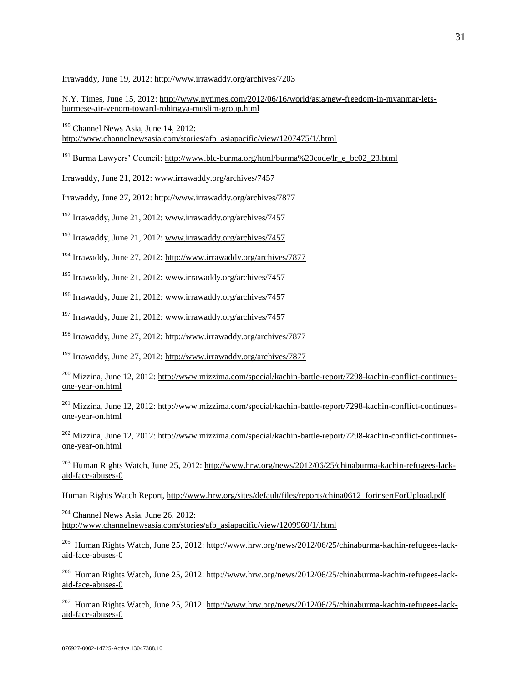Irrawaddy, June 19, 2012:<http://www.irrawaddy.org/archives/7203>

 $\overline{a}$ 

N.Y. Times, June 15, 2012: [http://www.nytimes.com/2012/06/16/world/asia/new-freedom-in-myanmar-lets](http://www.nytimes.com/2012/06/16/world/asia/new-freedom-in-myanmar-lets-burmese-air-venom-toward-rohingya-muslim-group.html)[burmese-air-venom-toward-rohingya-muslim-group.html](http://www.nytimes.com/2012/06/16/world/asia/new-freedom-in-myanmar-lets-burmese-air-venom-toward-rohingya-muslim-group.html)

<sup>190</sup> Channel News Asia, June 14, 2012: [http://www.channelnewsasia.com/stories/afp\\_asiapacific/view/1207475/1/.html](http://www.channelnewsasia.com/stories/afp_asiapacific/view/1207475/1/.html)

<sup>191</sup> Burma Lawyers' Council: http://www.blc-burma.org/html/burma%20code/lr\_e\_bc02\_23.html

Irrawaddy, June 21, 2012: [www.irrawaddy.org/archives/7457](http://www.irrawaddy.org/archives/7457)

Irrawaddy, June 27, 2012:<http://www.irrawaddy.org/archives/7877>

<sup>192</sup> Irrawaddy, June 21, 2012: [www.irrawaddy.org/archives/7457](http://www.irrawaddy.org/archives/7457)

<sup>193</sup> Irrawaddy, June 21, 2012[: www.irrawaddy.org/archives/7457](http://www.irrawaddy.org/archives/7457)

<sup>194</sup> Irrawaddy, June 27, 2012:<http://www.irrawaddy.org/archives/7877>

<sup>195</sup> Irrawaddy, June 21, 2012: [www.irrawaddy.org/archives/7457](http://www.irrawaddy.org/archives/7457)

<sup>196</sup> Irrawaddy, June 21, 2012: [www.irrawaddy.org/archives/7457](http://www.irrawaddy.org/archives/7457)

 $197$  Irrawaddy, June 21, 2012: [www.irrawaddy.org/archives/7457](http://www.irrawaddy.org/archives/7457)

<sup>198</sup> Irrawaddy, June 27, 2012:<http://www.irrawaddy.org/archives/7877>

<sup>199</sup> Irrawaddy, June 27, 2012:<http://www.irrawaddy.org/archives/7877>

<sup>200</sup> Mizzina, June 12, 2012: [http://www.mizzima.com/special/kachin-battle-report/7298-kachin-conflict-continues](http://www.mizzima.com/special/kachin-battle-report/7298-kachin-conflict-continues-one-year-on.html)[one-year-on.html](http://www.mizzima.com/special/kachin-battle-report/7298-kachin-conflict-continues-one-year-on.html)

<sup>201</sup> Mizzina. June 12, 2012: [http://www.mizzima.com/special/kachin-battle-report/7298-kachin-conflict-continues](http://www.mizzima.com/special/kachin-battle-report/7298-kachin-conflict-continues-one-year-on.html)[one-year-on.html](http://www.mizzima.com/special/kachin-battle-report/7298-kachin-conflict-continues-one-year-on.html)

<sup>202</sup> Mizzina, June 12, 2012: [http://www.mizzima.com/special/kachin-battle-report/7298-kachin-conflict-continues](http://www.mizzima.com/special/kachin-battle-report/7298-kachin-conflict-continues-one-year-on.html)[one-year-on.html](http://www.mizzima.com/special/kachin-battle-report/7298-kachin-conflict-continues-one-year-on.html)

<sup>203</sup> Human Rights Watch, June 25, 2012: [http://www.hrw.org/news/2012/06/25/chinaburma-kachin-refugees-lack](http://www.hrw.org/news/2012/06/25/chinaburma-kachin-refugees-lack-aid-face-abuses-0)[aid-face-abuses-0](http://www.hrw.org/news/2012/06/25/chinaburma-kachin-refugees-lack-aid-face-abuses-0)

Human Rights Watch Report, [http://www.hrw.org/sites/default/files/reports/china0612\\_forinsertForUpload.pdf](http://www.hrw.org/sites/default/files/reports/china0612_forinsertForUpload.pdf)

<sup>204</sup> Channel News Asia, June 26, 2012: [http://www.channelnewsasia.com/stories/afp\\_asiapacific/view/1209960/1/.html](http://www.channelnewsasia.com/stories/afp_asiapacific/view/1209960/1/.html)

<sup>205</sup> Human Rights Watch, June 25, 2012: [http://www.hrw.org/news/2012/06/25/chinaburma-kachin-refugees-lack](http://www.hrw.org/news/2012/06/25/chinaburma-kachin-refugees-lack-aid-face-abuses-0)[aid-face-abuses-0](http://www.hrw.org/news/2012/06/25/chinaburma-kachin-refugees-lack-aid-face-abuses-0)

<sup>206</sup> Human Rights Watch, June 25, 2012: [http://www.hrw.org/news/2012/06/25/chinaburma-kachin-refugees-lack](http://www.hrw.org/news/2012/06/25/chinaburma-kachin-refugees-lack-aid-face-abuses-0)[aid-face-abuses-0](http://www.hrw.org/news/2012/06/25/chinaburma-kachin-refugees-lack-aid-face-abuses-0)

<sup>207</sup> Human Rights Watch, June 25, 2012: [http://www.hrw.org/news/2012/06/25/chinaburma-kachin-refugees-lack](http://www.hrw.org/news/2012/06/25/chinaburma-kachin-refugees-lack-aid-face-abuses-0)[aid-face-abuses-0](http://www.hrw.org/news/2012/06/25/chinaburma-kachin-refugees-lack-aid-face-abuses-0)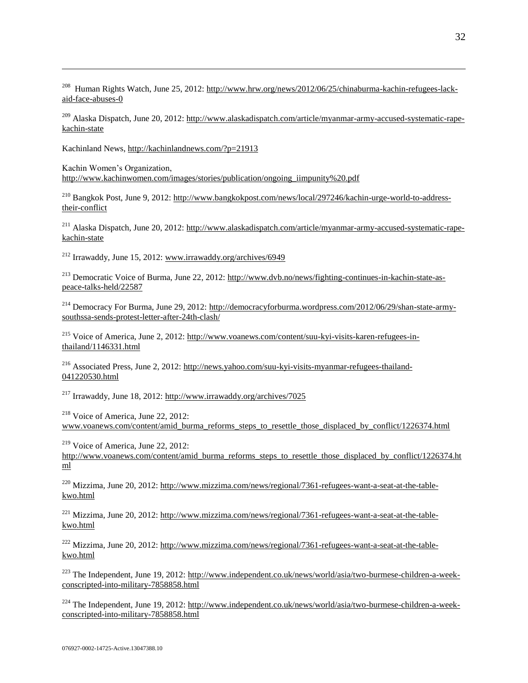<sup>208</sup> Human Rights Watch, June 25, 2012: [http://www.hrw.org/news/2012/06/25/chinaburma-kachin-refugees-lack](http://www.hrw.org/news/2012/06/25/chinaburma-kachin-refugees-lack-aid-face-abuses-0)[aid-face-abuses-0](http://www.hrw.org/news/2012/06/25/chinaburma-kachin-refugees-lack-aid-face-abuses-0)

<sup>209</sup> Alaska Dispatch, June 20, 2012: [http://www.alaskadispatch.com/article/myanmar-army-accused-systematic-rape](http://www.alaskadispatch.com/article/myanmar-army-accused-systematic-rape-kachin-state)[kachin-state](http://www.alaskadispatch.com/article/myanmar-army-accused-systematic-rape-kachin-state)

Kachinland News,<http://kachinlandnews.com/?p=21913>

 $\overline{a}$ 

Kachin Women's Organization, [http://www.kachinwomen.com/images/stories/publication/ongoing\\_iimpunity%20.pdf](http://www.kachinwomen.com/images/stories/publication/ongoing_iimpunity%20.pdf) 

<sup>210</sup> Bangkok Post, June 9, 2012: [http://www.bangkokpost.com/news/local/297246/kachin-urge-world-to-address](http://www.bangkokpost.com/news/local/297246/kachin-urge-world-to-address-their-conflict)[their-conflict](http://www.bangkokpost.com/news/local/297246/kachin-urge-world-to-address-their-conflict)

<sup>211</sup> Alaska Dispatch, June 20, 2012: [http://www.alaskadispatch.com/article/myanmar-army-accused-systematic-rape](http://www.alaskadispatch.com/article/myanmar-army-accused-systematic-rape-kachin-state)[kachin-state](http://www.alaskadispatch.com/article/myanmar-army-accused-systematic-rape-kachin-state)

<sup>212</sup> Irrawaddy, June 15, 2012: [www.irrawaddy.org/archives/6949](http://www.irrawaddy.org/archives/6949)

<sup>213</sup> Democratic Voice of Burma, June 22, 2012: [http://www.dvb.no/news/fighting-continues-in-kachin-state-as](http://www.dvb.no/news/fighting-continues-in-kachin-state-as-peace-talks-held/22587)[peace-talks-held/22587](http://www.dvb.no/news/fighting-continues-in-kachin-state-as-peace-talks-held/22587)

<sup>214</sup> Democracy For Burma, June 29, 2012: [http://democracyforburma.wordpress.com/2012/06/29/shan-state-army](http://democracyforburma.wordpress.com/2012/06/29/shan-state-army-southssa-sends-protest-letter-after-24th-clash/)[southssa-sends-protest-letter-after-24th-clash/](http://democracyforburma.wordpress.com/2012/06/29/shan-state-army-southssa-sends-protest-letter-after-24th-clash/)

<sup>215</sup> Voice of America, June 2, 2012: [http://www.voanews.com/content/suu-kyi-visits-karen-refugees-in](http://www.voanews.com/content/suu-kyi-visits-karen-refugees-in-thailand/1146331.html)[thailand/1146331.html](http://www.voanews.com/content/suu-kyi-visits-karen-refugees-in-thailand/1146331.html)

<sup>216</sup> Associated Press, June 2, 2012: [http://news.yahoo.com/suu-kyi-visits-myanmar-refugees-thailand-](http://news.yahoo.com/suu-kyi-visits-myanmar-refugees-thailand-041220530.html)[041220530.html](http://news.yahoo.com/suu-kyi-visits-myanmar-refugees-thailand-041220530.html)

<sup>217</sup> Irrawaddy, June 18, 2012:<http://www.irrawaddy.org/archives/7025>

<sup>218</sup> Voice of America, June 22, 2012: [www.voanews.com/content/amid\\_burma\\_reforms\\_steps\\_to\\_resettle\\_those\\_displaced\\_by\\_conflict/1226374.html](http://www.voanews.com/content/amid_burma_reforms_steps_to_resettle_those_displaced_by_conflict/1226374.html)

<sup>219</sup> Voice of America, June 22, 2012: [http://www.voanews.com/content/amid\\_burma\\_reforms\\_steps\\_to\\_resettle\\_those\\_displaced\\_by\\_conflict/1226374.ht](http://www.voanews.com/content/amid_burma_reforms_steps_to_resettle_those_displaced_by_conflict/1226374.html) [ml](http://www.voanews.com/content/amid_burma_reforms_steps_to_resettle_those_displaced_by_conflict/1226374.html)

<sup>220</sup> Mizzima, June 20, 2012: [http://www.mizzima.com/news/regional/7361-refugees-want-a-seat-at-the-table](http://www.mizzima.com/news/regional/7361-refugees-want-a-seat-at-the-table-kwo.html)[kwo.html](http://www.mizzima.com/news/regional/7361-refugees-want-a-seat-at-the-table-kwo.html)

<sup>221</sup> Mizzima, June 20, 2012: [http://www.mizzima.com/news/regional/7361-refugees-want-a-seat-at-the-table](http://www.mizzima.com/news/regional/7361-refugees-want-a-seat-at-the-table-kwo.html)[kwo.html](http://www.mizzima.com/news/regional/7361-refugees-want-a-seat-at-the-table-kwo.html)

<sup>222</sup> Mizzima, June 20, 2012: [http://www.mizzima.com/news/regional/7361-refugees-want-a-seat-at-the-table](http://www.mizzima.com/news/regional/7361-refugees-want-a-seat-at-the-table-kwo.html)[kwo.html](http://www.mizzima.com/news/regional/7361-refugees-want-a-seat-at-the-table-kwo.html)

<sup>223</sup> The Independent, June 19, 2012: [http://www.independent.co.uk/news/world/asia/two-burmese-children-a-week](http://www.independent.co.uk/news/world/asia/two-burmese-children-a-week-conscripted-into-military-7858858.html)[conscripted-into-military-7858858.html](http://www.independent.co.uk/news/world/asia/two-burmese-children-a-week-conscripted-into-military-7858858.html)

<sup>224</sup> The Independent, June 19, 2012: [http://www.independent.co.uk/news/world/asia/two-burmese-children-a-week](http://www.independent.co.uk/news/world/asia/two-burmese-children-a-week-conscripted-into-military-7858858.html)[conscripted-into-military-7858858.html](http://www.independent.co.uk/news/world/asia/two-burmese-children-a-week-conscripted-into-military-7858858.html)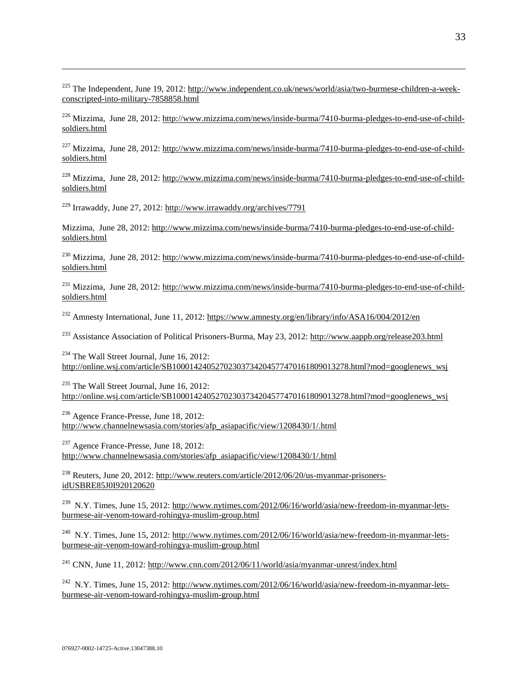<sup>225</sup> The Independent, June 19, 2012: [http://www.independent.co.uk/news/world/asia/two-burmese-children-a-week](http://www.independent.co.uk/news/world/asia/two-burmese-children-a-week-conscripted-into-military-7858858.html)[conscripted-into-military-7858858.html](http://www.independent.co.uk/news/world/asia/two-burmese-children-a-week-conscripted-into-military-7858858.html)

<sup>226</sup> Mizzima, June 28, 2012: [http://www.mizzima.com/news/inside-burma/7410-burma-pledges-to-end-use-of-child](http://www.mizzima.com/news/inside-burma/7410-burma-pledges-to-end-use-of-child-soldiers.html)[soldiers.html](http://www.mizzima.com/news/inside-burma/7410-burma-pledges-to-end-use-of-child-soldiers.html)

<sup>227</sup> Mizzima, June 28, 2012: [http://www.mizzima.com/news/inside-burma/7410-burma-pledges-to-end-use-of-child](http://www.mizzima.com/news/inside-burma/7410-burma-pledges-to-end-use-of-child-soldiers.html)[soldiers.html](http://www.mizzima.com/news/inside-burma/7410-burma-pledges-to-end-use-of-child-soldiers.html)

<sup>228</sup> Mizzima, June 28, 2012: [http://www.mizzima.com/news/inside-burma/7410-burma-pledges-to-end-use-of-child](http://www.mizzima.com/news/inside-burma/7410-burma-pledges-to-end-use-of-child-soldiers.html)[soldiers.html](http://www.mizzima.com/news/inside-burma/7410-burma-pledges-to-end-use-of-child-soldiers.html)

<sup>229</sup> Irrawaddy, June 27, 2012:<http://www.irrawaddy.org/archives/7791>

 $\overline{a}$ 

Mizzima, June 28, 2012: [http://www.mizzima.com/news/inside-burma/7410-burma-pledges-to-end-use-of-child](http://www.mizzima.com/news/inside-burma/7410-burma-pledges-to-end-use-of-child-soldiers.html)[soldiers.html](http://www.mizzima.com/news/inside-burma/7410-burma-pledges-to-end-use-of-child-soldiers.html)

<sup>230</sup> Mizzima, June 28, 2012: [http://www.mizzima.com/news/inside-burma/7410-burma-pledges-to-end-use-of-child](http://www.mizzima.com/news/inside-burma/7410-burma-pledges-to-end-use-of-child-soldiers.html)[soldiers.html](http://www.mizzima.com/news/inside-burma/7410-burma-pledges-to-end-use-of-child-soldiers.html)

<sup>231</sup> Mizzima. June 28, 2012: [http://www.mizzima.com/news/inside-burma/7410-burma-pledges-to-end-use-of-child](http://www.mizzima.com/news/inside-burma/7410-burma-pledges-to-end-use-of-child-soldiers.html)[soldiers.html](http://www.mizzima.com/news/inside-burma/7410-burma-pledges-to-end-use-of-child-soldiers.html)

<sup>232</sup> Amnesty International, June 11, 2012:<https://www.amnesty.org/en/library/info/ASA16/004/2012/en>

<sup>233</sup> Assistance Association of Political Prisoners-Burma, May 23, 2012:<http://www.aappb.org/release203.html>

<sup>234</sup> The Wall Street Journal, June 16, 2012: http://online.wsj.com/article/SB10001424052702303734204577470161809013278.html?mod=googlenews\_wsj

 $235$  The Wall Street Journal, June 16, 2012: http://online.wsj.com/article/SB10001424052702303734204577470161809013278.html?mod=googlenews\_wsj

 $236$  Agence France-Presse, June 18, 2012: http://www.channelnewsasia.com/stories/afp\_asiapacific/view/1208430/1/.html

 $237$  Agence France-Presse, June 18, 2012: http://www.channelnewsasia.com/stories/afp\_asiapacific/view/1208430/1/.html

<sup>238</sup> Reuters, June 20, 2012: [http://www.reuters.com/article/2012/06/20/us-myanmar-prisoners](http://www.reuters.com/article/2012/06/20/us-myanmar-prisoners-idUSBRE85J0I920120620)[idUSBRE85J0I920120620](http://www.reuters.com/article/2012/06/20/us-myanmar-prisoners-idUSBRE85J0I920120620)

<sup>239</sup> N.Y. Times, June 15, 2012: [http://www.nytimes.com/2012/06/16/world/asia/new-freedom-in-myanmar-lets](http://www.nytimes.com/2012/06/16/world/asia/new-freedom-in-myanmar-lets-burmese-air-venom-toward-rohingya-muslim-group.html)[burmese-air-venom-toward-rohingya-muslim-group.html](http://www.nytimes.com/2012/06/16/world/asia/new-freedom-in-myanmar-lets-burmese-air-venom-toward-rohingya-muslim-group.html)

<sup>240</sup> N.Y. Times, June 15, 2012: [http://www.nytimes.com/2012/06/16/world/asia/new-freedom-in-myanmar-lets](http://www.nytimes.com/2012/06/16/world/asia/new-freedom-in-myanmar-lets-burmese-air-venom-toward-rohingya-muslim-group.html)[burmese-air-venom-toward-rohingya-muslim-group.html](http://www.nytimes.com/2012/06/16/world/asia/new-freedom-in-myanmar-lets-burmese-air-venom-toward-rohingya-muslim-group.html)

<sup>241</sup> CNN, June 11, 2012[: http://www.cnn.com/2012/06/11/world/asia/myanmar-unrest/index.html](http://www.cnn.com/2012/06/11/world/asia/myanmar-unrest/index.html)

<sup>242</sup> N.Y. Times, June 15, 2012: [http://www.nytimes.com/2012/06/16/world/asia/new-freedom-in-myanmar-lets](http://www.nytimes.com/2012/06/16/world/asia/new-freedom-in-myanmar-lets-burmese-air-venom-toward-rohingya-muslim-group.html)[burmese-air-venom-toward-rohingya-muslim-group.html](http://www.nytimes.com/2012/06/16/world/asia/new-freedom-in-myanmar-lets-burmese-air-venom-toward-rohingya-muslim-group.html)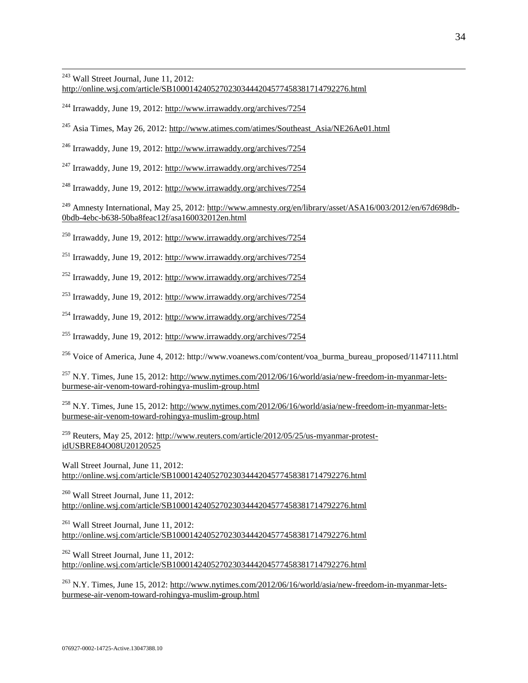$\overline{a}$  $243$  Wall Street Journal, June 11, 2012:

<http://online.wsj.com/article/SB10001424052702303444204577458381714792276.html>

<sup>244</sup> Irrawaddy, June 19, 2012:<http://www.irrawaddy.org/archives/7254>

<sup>245</sup> Asia Times, May 26, 2012: [http://www.atimes.com/atimes/Southeast\\_Asia/NE26Ae01.html](http://www.atimes.com/atimes/Southeast_Asia/NE26Ae01.html)

<sup>246</sup> Irrawaddy, June 19, 2012:<http://www.irrawaddy.org/archives/7254>

 $^{247}$  Irrawaddy, June 19, 2012: http://www.irrawaddy.org/archives/7254

<sup>248</sup> Irrawaddy, June 19, 2012:<http://www.irrawaddy.org/archives/7254>

<sup>249</sup> Amnesty International, May 25, 2012: [http://www.amnesty.org/en/library/asset/ASA16/003/2012/en/67d698db-](http://www.amnesty.org/en/library/asset/ASA16/003/2012/en/67d698db-0bdb-4ebc-b638-50ba8feac12f/asa160032012en.html)[0bdb-4ebc-b638-50ba8feac12f/asa160032012en.html](http://www.amnesty.org/en/library/asset/ASA16/003/2012/en/67d698db-0bdb-4ebc-b638-50ba8feac12f/asa160032012en.html) 

<sup>250</sup> Irrawaddy, June 19, 2012:<http://www.irrawaddy.org/archives/7254>

<sup>251</sup> Irrawaddy, June 19, 2012:<http://www.irrawaddy.org/archives/7254>

<sup>252</sup> Irrawaddy, June 19, 2012:<http://www.irrawaddy.org/archives/7254>

<sup>253</sup> Irrawaddy, June 19, 2012:<http://www.irrawaddy.org/archives/7254>

<sup>254</sup> Irrawaddy, June 19, 2012:<http://www.irrawaddy.org/archives/7254>

<sup>255</sup> Irrawaddy, June 19, 2012:<http://www.irrawaddy.org/archives/7254>

<sup>256</sup> Voice of America, June 4, 2012: http://www.voanews.com/content/voa\_burma\_bureau\_proposed/1147111.html

<sup>257</sup> N.Y. Times, June 15, 2012: [http://www.nytimes.com/2012/06/16/world/asia/new-freedom-in-myanmar-lets](http://www.nytimes.com/2012/06/16/world/asia/new-freedom-in-myanmar-lets-burmese-air-venom-toward-rohingya-muslim-group.html)[burmese-air-venom-toward-rohingya-muslim-group.html](http://www.nytimes.com/2012/06/16/world/asia/new-freedom-in-myanmar-lets-burmese-air-venom-toward-rohingya-muslim-group.html)

<sup>258</sup> N.Y. Times, June 15, 2012: [http://www.nytimes.com/2012/06/16/world/asia/new-freedom-in-myanmar-lets](http://www.nytimes.com/2012/06/16/world/asia/new-freedom-in-myanmar-lets-burmese-air-venom-toward-rohingya-muslim-group.html)[burmese-air-venom-toward-rohingya-muslim-group.html](http://www.nytimes.com/2012/06/16/world/asia/new-freedom-in-myanmar-lets-burmese-air-venom-toward-rohingya-muslim-group.html)

<sup>259</sup> Reuters, May 25, 2012: [http://www.reuters.com/article/2012/05/25/us-myanmar-protest](http://www.reuters.com/article/2012/05/25/us-myanmar-protest-idUSBRE84O08U20120525)[idUSBRE84O08U20120525](http://www.reuters.com/article/2012/05/25/us-myanmar-protest-idUSBRE84O08U20120525)

Wall Street Journal, June 11, 2012: <http://online.wsj.com/article/SB10001424052702303444204577458381714792276.html>

 $260$  Wall Street Journal, June 11, 2012: <http://online.wsj.com/article/SB10001424052702303444204577458381714792276.html>

<sup>261</sup> Wall Street Journal, June 11, 2012: <http://online.wsj.com/article/SB10001424052702303444204577458381714792276.html>

<sup>262</sup> Wall Street Journal, June 11, 2012: <http://online.wsj.com/article/SB10001424052702303444204577458381714792276.html>

<sup>263</sup> N.Y. Times, June 15, 2012: [http://www.nytimes.com/2012/06/16/world/asia/new-freedom-in-myanmar-lets](http://www.nytimes.com/2012/06/16/world/asia/new-freedom-in-myanmar-lets-burmese-air-venom-toward-rohingya-muslim-group.html)[burmese-air-venom-toward-rohingya-muslim-group.html](http://www.nytimes.com/2012/06/16/world/asia/new-freedom-in-myanmar-lets-burmese-air-venom-toward-rohingya-muslim-group.html)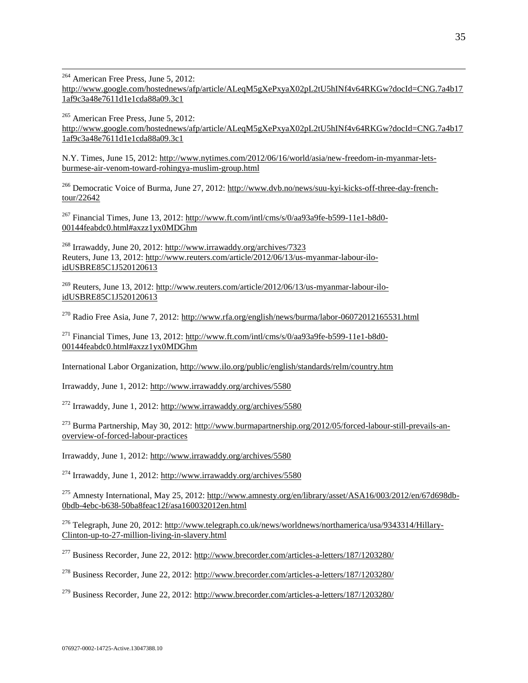$\overline{a}$ <sup>264</sup> American Free Press, June 5, 2012: [http://www.google.com/hostednews/afp/article/ALeqM5gXePxyaX02pL2tU5hINf4v64RKGw?docId=CNG.7a4b17](http://www.google.com/hostednews/afp/article/ALeqM5gXePxyaX02pL2tU5hINf4v64RKGw?docId=CNG.7a4b171af9c3a48e7611d1e1cda88a09.3c1) [1af9c3a48e7611d1e1cda88a09.3c1](http://www.google.com/hostednews/afp/article/ALeqM5gXePxyaX02pL2tU5hINf4v64RKGw?docId=CNG.7a4b171af9c3a48e7611d1e1cda88a09.3c1)

<sup>265</sup> American Free Press, June 5, 2012: [http://www.google.com/hostednews/afp/article/ALeqM5gXePxyaX02pL2tU5hINf4v64RKGw?docId=CNG.7a4b17](http://www.google.com/hostednews/afp/article/ALeqM5gXePxyaX02pL2tU5hINf4v64RKGw?docId=CNG.7a4b171af9c3a48e7611d1e1cda88a09.3c1) [1af9c3a48e7611d1e1cda88a09.3c1](http://www.google.com/hostednews/afp/article/ALeqM5gXePxyaX02pL2tU5hINf4v64RKGw?docId=CNG.7a4b171af9c3a48e7611d1e1cda88a09.3c1)

N.Y. Times, June 15, 2012: [http://www.nytimes.com/2012/06/16/world/asia/new-freedom-in-myanmar-lets](http://www.nytimes.com/2012/06/16/world/asia/new-freedom-in-myanmar-lets-burmese-air-venom-toward-rohingya-muslim-group.html)[burmese-air-venom-toward-rohingya-muslim-group.html](http://www.nytimes.com/2012/06/16/world/asia/new-freedom-in-myanmar-lets-burmese-air-venom-toward-rohingya-muslim-group.html)

<sup>266</sup> Democratic Voice of Burma, June 27, 2012: [http://www.dvb.no/news/suu-kyi-kicks-off-three-day-french](http://www.dvb.no/news/suu-kyi-kicks-off-three-day-french-tour/22642)[tour/22642](http://www.dvb.no/news/suu-kyi-kicks-off-three-day-french-tour/22642)

<sup>267</sup> Financial Times, June 13, 2012: [http://www.ft.com/intl/cms/s/0/aa93a9fe-b599-11e1-b8d0-](http://www.ft.com/intl/cms/s/0/aa93a9fe-b599-11e1-b8d0-00144feabdc0.html#axzz1yx0MDGhm) [00144feabdc0.html#axzz1yx0MDGhm](http://www.ft.com/intl/cms/s/0/aa93a9fe-b599-11e1-b8d0-00144feabdc0.html#axzz1yx0MDGhm)

<sup>268</sup> Irrawaddy, June 20, 2012:<http://www.irrawaddy.org/archives/7323> Reuters, June 13, 2012[: http://www.reuters.com/article/2012/06/13/us-myanmar-labour-ilo](http://www.reuters.com/article/2012/06/13/us-myanmar-labour-ilo-idUSBRE85C1J520120613)[idUSBRE85C1J520120613](http://www.reuters.com/article/2012/06/13/us-myanmar-labour-ilo-idUSBRE85C1J520120613)

<sup>269</sup> Reuters, June 13, 2012: [http://www.reuters.com/article/2012/06/13/us-myanmar-labour-ilo](http://www.reuters.com/article/2012/06/13/us-myanmar-labour-ilo-idUSBRE85C1J520120613)[idUSBRE85C1J520120613](http://www.reuters.com/article/2012/06/13/us-myanmar-labour-ilo-idUSBRE85C1J520120613)

<sup>270</sup> Radio Free Asia, June 7, 2012:<http://www.rfa.org/english/news/burma/labor-06072012165531.html>

 $^{271}$  Financial Times, June 13, 2012: [http://www.ft.com/intl/cms/s/0/aa93a9fe-b599-11e1-b8d0-](http://www.ft.com/intl/cms/s/0/aa93a9fe-b599-11e1-b8d0-00144feabdc0.html#axzz1yx0MDGhm) [00144feabdc0.html#axzz1yx0MDGhm](http://www.ft.com/intl/cms/s/0/aa93a9fe-b599-11e1-b8d0-00144feabdc0.html#axzz1yx0MDGhm)

International Labor Organization,<http://www.ilo.org/public/english/standards/relm/country.htm>

Irrawaddy, June 1, 2012:<http://www.irrawaddy.org/archives/5580>

<sup>272</sup> Irrawaddy, June 1, 2012:<http://www.irrawaddy.org/archives/5580>

<sup>273</sup> Burma Partnership, May 30, 2012[: http://www.burmapartnership.org/2012/05/forced-labour-still-prevails-an](http://www.burmapartnership.org/2012/05/forced-labour-still-prevails-an-overview-of-forced-labour-practices)[overview-of-forced-labour-practices](http://www.burmapartnership.org/2012/05/forced-labour-still-prevails-an-overview-of-forced-labour-practices)

Irrawaddy, June 1, 2012:<http://www.irrawaddy.org/archives/5580>

<sup>274</sup> Irrawaddy, June 1, 2012:<http://www.irrawaddy.org/archives/5580>

<sup>275</sup> Amnesty International, May 25, 2012: [http://www.amnesty.org/en/library/asset/ASA16/003/2012/en/67d698db-](http://www.amnesty.org/en/library/asset/ASA16/003/2012/en/67d698db-0bdb-4ebc-b638-50ba8feac12f/asa160032012en.html)[0bdb-4ebc-b638-50ba8feac12f/asa160032012en.html](http://www.amnesty.org/en/library/asset/ASA16/003/2012/en/67d698db-0bdb-4ebc-b638-50ba8feac12f/asa160032012en.html) 

<sup>276</sup> Telegraph, June 20, 2012: [http://www.telegraph.co.uk/news/worldnews/northamerica/usa/9343314/Hillary-](http://www.telegraph.co.uk/news/worldnews/northamerica/usa/9343314/Hillary-Clinton-up-to-27-million-living-in-slavery.html)[Clinton-up-to-27-million-living-in-slavery.html](http://www.telegraph.co.uk/news/worldnews/northamerica/usa/9343314/Hillary-Clinton-up-to-27-million-living-in-slavery.html)

<sup>277</sup> Business Recorder, June 22, 2012:<http://www.brecorder.com/articles-a-letters/187/1203280/>

<sup>278</sup> Business Recorder, June 22, 2012:<http://www.brecorder.com/articles-a-letters/187/1203280/>

 $^{279}$  Business Recorder, June 22, 2012:<http://www.brecorder.com/articles-a-letters/187/1203280/>